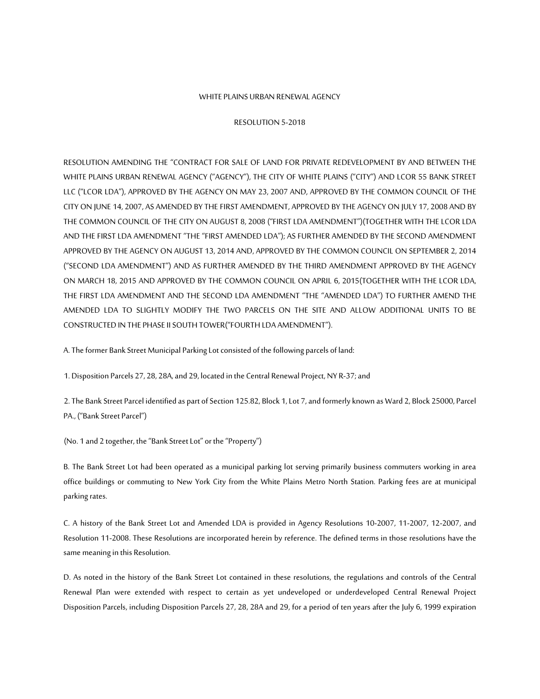#### WHITE PLAINS URBAN RENEWAL AGENCY

#### RESOLUTION 5-2018

RESOLUTION AMENDING THE "CONTRACT FOR SALE OF LAND FOR PRIVATE REDEVELOPMENT BY AND BETWEEN THE WHITE PLAINS URBAN RENEWAL AGENCY ("AGENCY"), THE CITY OF WHITE PLAINS ("CITY") AND LCOR 55 BANK STREET LLC ("LCOR LDA"), APPROVED BY THE AGENCY ON MAY 23, 2007 AND, APPROVED BY THE COMMON COUNCIL OF THE CITY ON JUNE 14, 2007, AS AMENDED BY THE FIRST AMENDMENT, APPROVED BY THE AGENCY ON JULY 17, 2008 AND BY THE COMMON COUNCIL OF THE CITY ON AUGUST 8, 2008 ("FIRST LDA AMENDMENT")(TOGETHER WITH THE LCOR LDA AND THE FIRST LDA AMENDMENT "THE "FIRST AMENDED LDA"); AS FURTHER AMENDED BY THE SECOND AMENDMENT APPROVED BY THE AGENCY ON AUGUST 13, 2014 AND, APPROVED BY THE COMMON COUNCIL ON SEPTEMBER 2, 2014 ("SECOND LDA AMENDMENT") AND AS FURTHER AMENDED BY THE THIRD AMENDMENT APPROVED BY THE AGENCY ON MARCH 18, 2015 AND APPROVED BY THE COMMON COUNCIL ON APRIL 6, 2015(TOGETHER WITH THE LCOR LDA, THE FIRST LDA AMENDMENT AND THE SECOND LDA AMENDMENT "THE "AMENDED LDA") TO FURTHER AMEND THE AMENDED LDA TO SLIGHTLY MODIFY THE TWO PARCELS ON THE SITE AND ALLOW ADDITIONAL UNITS TO BE CONSTRUCTED IN THE PHASE II SOUTH TOWER("FOURTH LDA AMENDMENT").

A. The former Bank Street Municipal Parking Lot consisted of the following parcels of land:

1. Disposition Parcels 27, 28, 28A, and 29, located in the Central Renewal Project, NY R-37; and

2. The Bank Street Parcel identified as part of Section 125.82, Block 1, Lot 7, and formerly known as Ward 2, Block 25000, Parcel PA., ("Bank Street Parcel")

(No. 1 and 2 together, the "Bank Street Lot" or the "Property")

B. The Bank Street Lot had been operated as a municipal parking lot serving primarily business commuters working in area office buildings or commuting to New York City from the White Plains Metro North Station. Parking fees are at municipal parking rates.

C. A history of the Bank Street Lot and Amended LDA is provided in Agency Resolutions 10-2007, 11-2007, 12-2007, and Resolution 11-2008. These Resolutions are incorporated herein by reference. The defined terms in those resolutions have the same meaning in this Resolution.

D. As noted in the history of the Bank Street Lot contained in these resolutions, the regulations and controls of the Central Renewal Plan were extended with respect to certain as yet undeveloped or underdeveloped Central Renewal Project Disposition Parcels, including Disposition Parcels 27, 28, 28A and 29, for a period of ten years after the July 6, 1999 expiration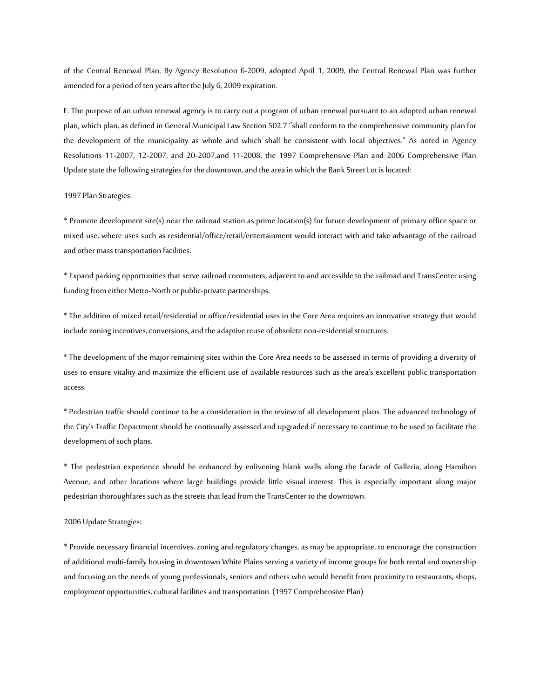of the Central Renewal Plan. By Agency Resolution 6-2009, adopted April 1, 2009, the Central Renewal Plan was further amended for a period of ten years after the July 6, 2009 expiration.

E. The purpose of an urban renewal agency is to carry out a program of urban renewal pursuant to an adopted urban renewal plan, which plan, as defined in General Municipal Law Section 502.7 "shall conform to the comprehensive community plan for the development of the municipality as whole and which shall be consistent with local objectives." As noted in Agency Resolutions 11-2007, 12-2007, and 20-2007,and 11-2008, the 1997 Comprehensive Plan and 2006 Comprehensive Plan Update state the following strategies for the downtown, and the area in which the Bank Street Lot is located:

#### 1997 Plan Strategies:

\* Promote development site(s) near the railroad station as prime location(s) for future development of primary office space or mixed use, where uses such as residential/office/retail/entertainment would interact with and take advantage of the railroad and other mass transportation facilities.

\* Expand parking opportunities that serve railroad commuters, adjacent to and accessible to the railroad and TransCenter using funding from either Metro-North or public-private partnerships.

\* The addition of mixed retail/residential or office/residential uses in the Core Area requires an innovative strategy that would include zoning incentives, conversions, and the adaptive reuse of obsolete non-residential structures.

\* The development of the major remaining sites within the Core Area needs to be assessed in terms of providing a diversity of uses to ensure vitality and maximize the efficient use of available resources such as the area's excellent public transportation access.

\* Pedestrian traffic should continue to be a consideration in the review of all development plans. The advanced technology of the City's Traffic Department should be continually assessed and upgraded if necessary to continue to be used to facilitate the development of such plans.

\* The pedestrian experience should be enhanced by enlivening blank walls along the facade of Galleria, along Hamilton Avenue, and other locations where large buildings provide little visual interest. This is especially important along major pedestrian thoroughfares such as the streets that lead from the TransCenter to the downtown.

#### 2006 Update Strategies:

\* Provide necessary financial incentives, zoning and regulatory changes, as may be appropriate, to encourage the construction of additional multi-family housingin downtown White Plains serving a variety of income groups for both rental and ownership and focusing on the needs of young professionals, seniors and others who would benefit from proximity to restaurants, shops, employment opportunities, cultural facilities and transportation. (1997 Comprehensive Plan)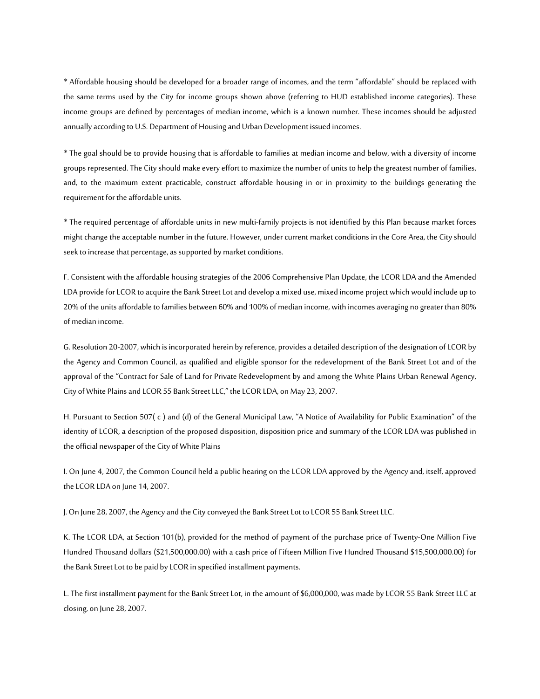\* Affordable housing should be developed for a broader range of incomes, and the term "affordable" should be replaced with the same terms used by the City for income groups shown above (referring to HUD established income categories). These income groups are defined by percentages of median income, which is a known number. These incomes should be adjusted annually according to U.S. Department of Housing and Urban Development issued incomes.

\* The goal should be to provide housing that is affordable to families at median income and below, with a diversity of income groups represented. The City should make every effort to maximize the number of units to help the greatest number of families, and, to the maximum extent practicable, construct affordable housing in or in proximity to the buildings generating the requirement for the affordable units.

\* The required percentage of affordable units in new multi-family projects is not identified by this Plan because market forces might change the acceptable number in the future. However, under current market conditions in the Core Area, the City should seek to increase that percentage, as supported by market conditions.

F. Consistent with the affordable housing strategies of the 2006 Comprehensive Plan Update, the LCOR LDA and the Amended LDA provide for LCOR to acquire the Bank Street Lot and develop a mixed use, mixed income project which would include up to 20% of the units affordable to families between 60% and 100% of median income, with incomes averaging no greater than 80% of median income.

G. Resolution 20-2007, which is incorporated herein by reference, provides a detailed description of the designation of LCOR by the Agency and Common Council, as qualified and eligible sponsor for the redevelopment of the Bank Street Lot and of the approval of the "Contract for Sale of Land for Private Redevelopment by and among the White Plains Urban Renewal Agency, City of White Plains and LCOR 55 Bank Street LLC," the LCOR LDA, on May 23, 2007.

H. Pursuant to Section 507( c ) and (d) of the General Municipal Law, "A Notice of Availability for Public Examination" of the identity of LCOR, a description of the proposed disposition, disposition price and summary of the LCOR LDA was published in the official newspaper of the City of White Plains

I. On June 4, 2007, the Common Council held a public hearing on the LCOR LDA approved by the Agency and, itself, approved the LCOR LDA on June 14, 2007.

J. On June 28, 2007, the Agency and the City conveyed the Bank Street Lot to LCOR 55 Bank Street LLC.

K. The LCOR LDA, at Section 101(b), provided for the method of payment of the purchase price of Twenty-One Million Five Hundred Thousand dollars (\$21,500,000.00) with a cash price of Fifteen Million Five Hundred Thousand \$15,500,000.00) for the Bank Street Lot to be paid by LCOR in specified installment payments.

L. The first installment payment for the Bank Street Lot, in the amount of \$6,000,000, was made by LCOR 55 Bank Street LLC at closing, on June 28, 2007.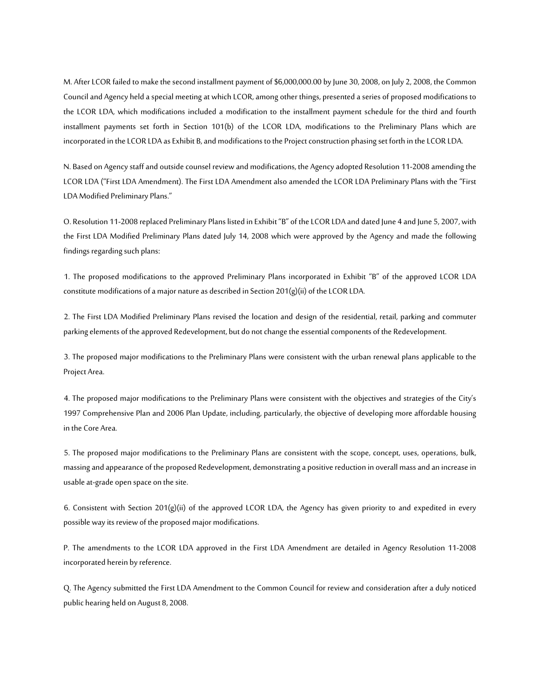M. After LCOR failed to make the second installment payment of \$6,000,000.00 by June 30, 2008, on July 2, 2008, the Common Council and Agency held a special meeting at which LCOR, among other things, presented a series of proposed modifications to the LCOR LDA, which modifications included a modification to the installment payment schedule for the third and fourth installment payments set forth in Section 101(b) of the LCOR LDA, modifications to the Preliminary Plans which are incorporated in the LCOR LDA as Exhibit B, and modifications to the Project construction phasing set forth in the LCOR LDA.

N. Based on Agency staff and outside counsel review and modifications, the Agency adopted Resolution 11-2008 amending the LCOR LDA ("First LDA Amendment). The First LDA Amendment also amended the LCOR LDA Preliminary Plans with the "First LDA Modified Preliminary Plans."

O. Resolution 11-2008 replaced Preliminary Plans listed in Exhibit "B" of the LCOR LDA and dated June 4 and June 5, 2007, with the First LDA Modified Preliminary Plans dated July 14, 2008 which were approved by the Agency and made the following findings regarding such plans:

1. The proposed modifications to the approved Preliminary Plans incorporated in Exhibit "B" of the approved LCOR LDA constitute modifications of a major nature as described in Section 201(g)(ii) of the LCOR LDA.

2. The First LDA Modified Preliminary Plans revised the location and design of the residential, retail, parking and commuter parking elements of the approved Redevelopment, but do not change the essential components of the Redevelopment.

3. The proposed major modifications to the Preliminary Plans were consistent with the urban renewal plans applicable to the Project Area.

4. The proposed major modifications to the Preliminary Plans were consistent with the objectives and strategies of the City's 1997 Comprehensive Plan and 2006 Plan Update, including, particularly, the objective of developing more affordable housing in the Core Area.

5. The proposed major modifications to the Preliminary Plans are consistent with the scope, concept, uses, operations, bulk, massing and appearance of the proposed Redevelopment, demonstrating a positive reduction in overall mass and an increase in usable at-grade open space on the site.

6. Consistent with Section 201(g)(ii) of the approved LCOR LDA, the Agency has given priority to and expedited in every possible way its review of the proposed major modifications.

P. The amendments to the LCOR LDA approved in the First LDA Amendment are detailed in Agency Resolution 11-2008 incorporated herein by reference.

Q. The Agency submitted the First LDA Amendment to the Common Council for review and consideration after a duly noticed public hearing held on August 8, 2008.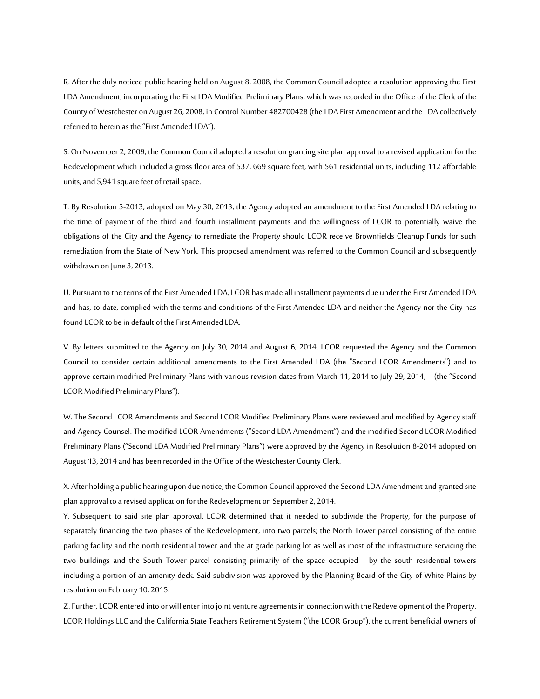R. After the duly noticed public hearing held on August 8, 2008, the Common Council adopted a resolution approving the First LDA Amendment, incorporating the First LDA Modified Preliminary Plans, which was recorded in the Office of the Clerk of the County of Westchester on August 26, 2008, in Control Number 482700428 (the LDA First Amendment and the LDA collectively referred to herein as the "First Amended LDA").

S. On November 2, 2009, the Common Council adopted a resolution granting site plan approval to a revised application for the Redevelopment which included a gross floor area of 537, 669 square feet, with 561 residential units, including 112 affordable units, and 5,941 square feet of retail space.

T. By Resolution 5-2013, adopted on May 30, 2013, the Agency adopted an amendment to the First Amended LDA relating to the time of payment of the third and fourth installment payments and the willingness of LCOR to potentially waive the obligations of the City and the Agency to remediate the Property should LCOR receive Brownfields Cleanup Funds for such remediation from the State of New York. This proposed amendment was referred to the Common Council and subsequently withdrawn on June 3, 2013.

U. Pursuant to the terms of the First Amended LDA, LCOR has made all installment payments due under the First Amended LDA and has, to date, complied with the terms and conditions of the First Amended LDA and neither the Agency nor the City has found LCOR to be in default of the First Amended LDA.

V. By letters submitted to the Agency on July 30, 2014 and August 6, 2014, LCOR requested the Agency and the Common Council to consider certain additional amendments to the First Amended LDA (the "Second LCOR Amendments") and to approve certain modified Preliminary Plans with various revision dates from March 11, 2014 to July 29, 2014, (the "Second LCOR Modified Preliminary Plans").

W. The Second LCOR Amendments and Second LCOR Modified Preliminary Plans were reviewed and modified by Agency staff and Agency Counsel. The modified LCOR Amendments ("Second LDA Amendment") and the modified Second LCOR Modified Preliminary Plans ("Second LDA Modified Preliminary Plans") were approved by the Agency in Resolution 8-2014 adopted on August 13, 2014 and has been recorded in the Office of the Westchester County Clerk.

X. After holding a public hearing upon due notice, the Common Council approved the Second LDA Amendment and granted site plan approval to a revised application for the Redevelopment on September 2, 2014.

Y. Subsequent to said site plan approval, LCOR determined that it needed to subdivide the Property, for the purpose of separately financing the two phases of the Redevelopment, into two parcels; the North Tower parcel consisting of the entire parking facility and the north residential tower and the at grade parking lot as well as most of the infrastructure servicing the two buildings and the South Tower parcel consisting primarily of the space occupied by the south residential towers including a portion of an amenity deck. Said subdivision was approved by the Planning Board of the City of White Plains by resolution on February 10, 2015.

Z. Further, LCOR entered into or will enter into joint venture agreements in connection with the Redevelopment of the Property. LCOR Holdings LLC and the California State Teachers Retirement System ("the LCOR Group"), the current beneficial owners of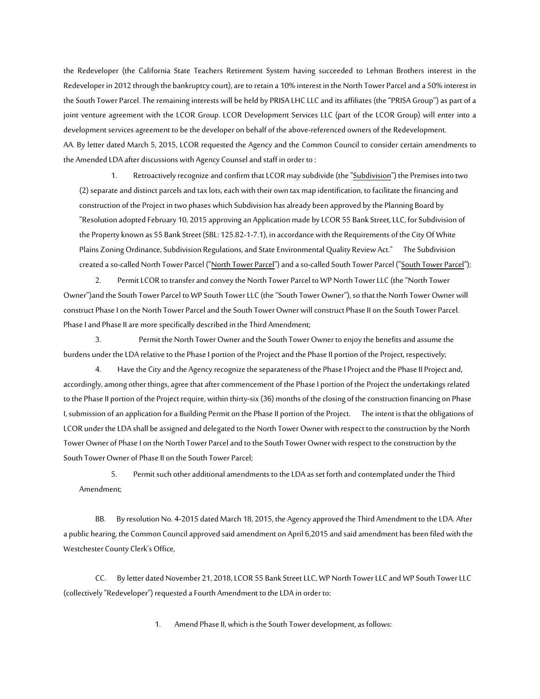the Redeveloper (the California State Teachers Retirement System having succeeded to Lehman Brothers interest in the Redeveloper in 2012 through the bankruptcy court), are to retain a 10% interest in the North Tower Parcel and a 50% interest in the South Tower Parcel. The remaining interests will be held by PRISA LHC LLC and its affiliates (the "PRISA Group") as part of a joint venture agreement with the LCOR Group. LCOR Development Services LLC (part of the LCOR Group) will enter into a development services agreement to be the developer on behalf of the above-referenced owners of the Redevelopment. AA. By letter dated March 5, 2015, LCOR requested the Agency and the Common Council to consider certain amendments to the Amended LDA after discussions with Agency Counsel and staff in order to :

1. Retroactively recognize and confirm that LCOR may subdivide (the "Subdivision") the Premises into two (2) separate and distinct parcels and tax lots, each with their own tax map identification, to facilitate the financing and construction of the Project in two phases which Subdivision has already been approved by the Planning Board by "Resolution adopted February 10, 2015 approving an Application made by LCOR 55 Bank Street, LLC, for Subdivision of the Property known as 55 Bank Street (SBL: 125.82-1-7.1), in accordance with the Requirements of the City Of White Plains Zoning Ordinance, Subdivision Regulations, and State Environmental Quality Review Act." The Subdivision created a so-called North Tower Parcel ("North Tower Parcel") and a so-called South Tower Parcel ("South Tower Parcel");

2. Permit LCOR to transfer and convey the North Tower Parcel to WP North Tower LLC (the "North Tower Owner")and the South Tower Parcel to WP South Tower LLC (the "South Tower Owner"), so that the North Tower Owner will construct Phase I on the North Tower Parcel and the South Tower Owner will construct Phase II on the South Tower Parcel. Phase I and Phase II are more specifically described in the Third Amendment;

3. Permit the North Tower Owner and the South Tower Owner to enjoy the benefits and assume the burdens under the LDA relative to the Phase I portion of the Project and the Phase II portion of the Project, respectively;

4. Have the City and the Agency recognize the separateness of the Phase I Project and the Phase II Project and, accordingly, among other things, agree that after commencement of the Phase I portion of the Project the undertakings related to the Phase II portion of the Project require, within thirty-six (36) months of the closing of the construction financing on Phase I, submission of an application for a Building Permit on the Phase II portion of the Project. The intent is that the obligations of LCOR under the LDA shall be assigned and delegated to the North Tower Owner with respect to the construction by the North Tower Owner of Phase I on the North Tower Parcel and to the South Tower Owner with respect to the construction by the South Tower Owner of Phase II on the South Tower Parcel;

5. Permit such other additional amendments to the LDA as set forth and contemplated under the Third Amendment;

BB. By resolution No. 4-2015 dated March 18, 2015, the Agency approved the Third Amendment to the LDA. After a public hearing, the Common Council approved said amendment on April 6,2015 and said amendment has been filed with the Westchester County Clerk's Office,

CC. By letter dated November 21, 2018, LCOR 55 Bank Street LLC, WP North Tower LLC and WP South Tower LLC (collectively "Redeveloper") requested a Fourth Amendment to the LDA in order to:

1. Amend Phase II, which is the South Tower development, as follows: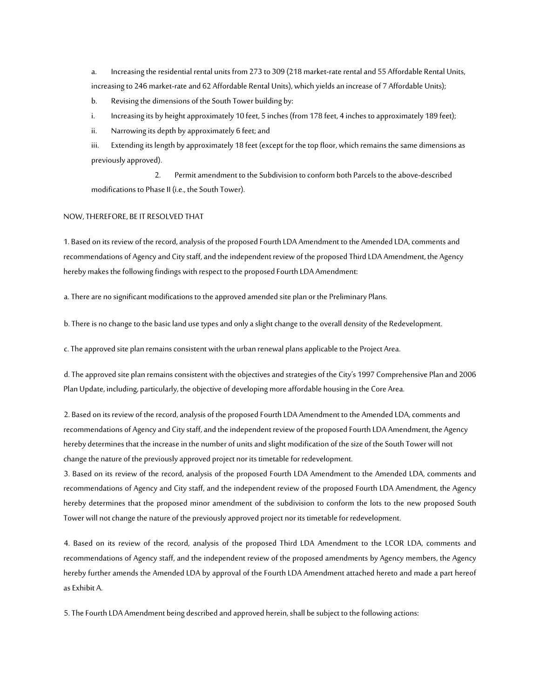a. Increasing the residential rental units from 273 to 309 (218 market-rate rental and 55 Affordable Rental Units, increasing to 246 market-rate and 62 Affordable Rental Units), which yields an increase of 7 Affordable Units);

b. Revising the dimensions of the South Tower building by:

i. Increasing its by height approximately 10 feet, 5 inches (from 178 feet, 4 inches to approximately 189 feet);

ii. Narrowing its depth by approximately 6 feet; and

iii. Extending its length by approximately 18 feet (except for the top floor, which remains the same dimensions as previously approved).

2. Permit amendment to the Subdivision to conform both Parcels to the above-described modifications to Phase II (i.e., the South Tower).

#### NOW, THEREFORE, BE IT RESOLVED THAT

1. Based on its review of the record, analysis of the proposed Fourth LDA Amendment to the Amended LDA, comments and recommendations of Agency and City staff, and the independent review of the proposed Third LDA Amendment, the Agency hereby makes the following findings with respect to the proposed Fourth LDA Amendment:

a. There are no significant modifications to the approved amended site plan or the Preliminary Plans.

b. There is no change to the basic land use types and only a slight change to the overall density of the Redevelopment.

c. The approved site plan remains consistent with the urban renewal plans applicable to the Project Area.

d. The approved site plan remains consistent with the objectives and strategies of the City's 1997 Comprehensive Plan and 2006 Plan Update, including, particularly, the objective of developing more affordable housing in the Core Area.

2. Based on its review of the record, analysis of the proposed Fourth LDA Amendment to the Amended LDA, comments and recommendations of Agency and City staff, and the independent review of the proposed Fourth LDA Amendment, the Agency hereby determines that the increase in the number of units and slight modification of the size of the South Tower will not change the nature of the previously approved project nor its timetable for redevelopment.

3. Based on its review of the record, analysis of the proposed Fourth LDA Amendment to the Amended LDA, comments and recommendations of Agency and City staff, and the independent review of the proposed Fourth LDA Amendment, the Agency hereby determines that the proposed minor amendment of the subdivision to conform the lots to the new proposed South Tower will not change the nature of the previously approved project nor its timetable for redevelopment.

4. Based on its review of the record, analysis of the proposed Third LDA Amendment to the LCOR LDA, comments and recommendations of Agency staff, and the independent review of the proposed amendments by Agency members, the Agency hereby further amends the Amended LDA by approval of the Fourth LDA Amendment attached hereto and made a part hereof as Exhibit A.

5. The Fourth LDA Amendment being described and approved herein, shall be subject to thefollowing actions: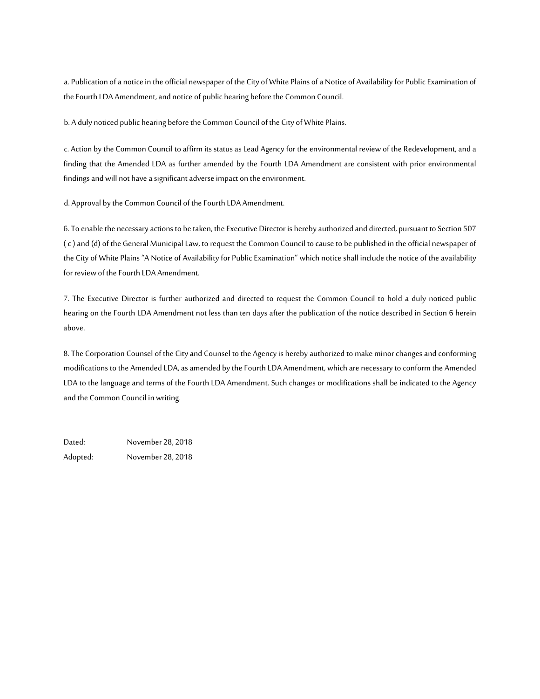a. Publication of a notice in the official newspaper of the City of White Plains of a Notice of Availability for Public Examination of the Fourth LDA Amendment, and notice of public hearing before the Common Council.

b. A duly noticed public hearing before the Common Council of the City of White Plains.

c. Action by the Common Council to affirm its status as Lead Agency for the environmental review of the Redevelopment, and a finding that the Amended LDA as further amended by the Fourth LDA Amendment are consistent with prior environmental findings and will not have a significant adverse impact on the environment.

d. Approval by the Common Council of the Fourth LDA Amendment.

6. To enable the necessary actions to be taken, the Executive Director is hereby authorized and directed, pursuant to Section 507 ( c ) and (d) of the General Municipal Law, to request the Common Council to cause to be published in the official newspaper of the City of White Plains "A Notice of Availability for Public Examination" which notice shall include the notice of the availability for review of the Fourth LDA Amendment.

7. The Executive Director is further authorized and directed to request the Common Council to hold a duly noticed public hearing on the Fourth LDA Amendment not less than ten days after the publication of the notice described in Section 6 herein above.

8. The Corporation Counsel of the City and Counsel to the Agency is hereby authorized to make minor changes and conforming modifications to the Amended LDA, as amended by the Fourth LDA Amendment, which are necessary to conform the Amended LDA to the language and terms of the Fourth LDA Amendment. Such changes or modifications shall be indicated to the Agency and the Common Council in writing.

Dated: November 28, 2018 Adopted: November 28, 2018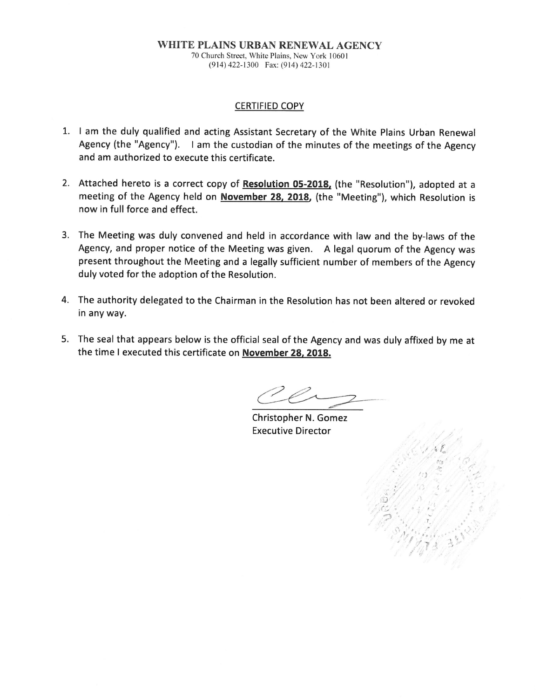#### WHITE PLAINS URBAN RENEWAL AGENCY 70 Church Street, White Plains, New York 10601 (914) 422-1300 Fax: (914) 422-1301

#### **CERTIFIED COPY**

- 1. I am the duly qualified and acting Assistant Secretary of the White Plains Urban Renewal Agency (the "Agency"). I am the custodian of the minutes of the meetings of the Agency and am authorized to execute this certificate.
- 2. Attached hereto is a correct copy of Resolution 05-2018, (the "Resolution"), adopted at a meeting of the Agency held on November 28, 2018, (the "Meeting"), which Resolution is now in full force and effect.
- 3. The Meeting was duly convened and held in accordance with law and the by-laws of the Agency, and proper notice of the Meeting was given. A legal quorum of the Agency was present throughout the Meeting and a legally sufficient number of members of the Agency duly voted for the adoption of the Resolution.
- 4. The authority delegated to the Chairman in the Resolution has not been altered or revoked in any way.
- 5. The seal that appears below is the official seal of the Agency and was duly affixed by me at the time I executed this certificate on November 28, 2018.

Christopher N. Gomez **Executive Director**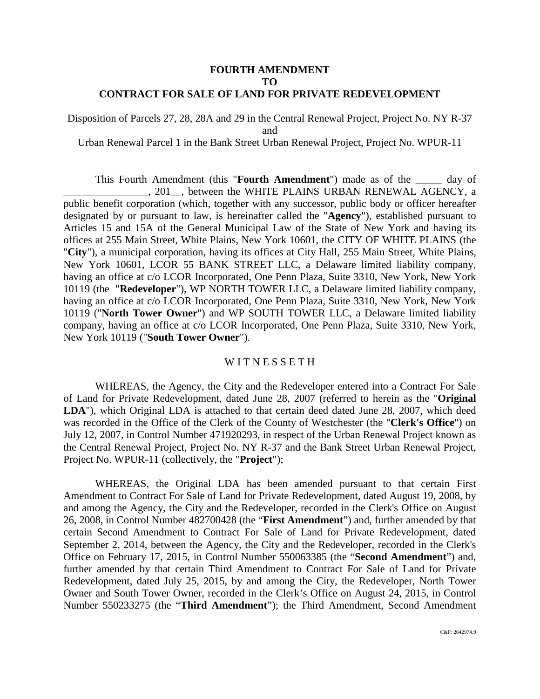#### **FOURTH AMENDMENT TO CONTRACT FOR SALE OF LAND FOR PRIVATE REDEVELOPMENT**

Disposition of Parcels 27, 28, 28A and 29 in the Central Renewal Project, Project No. NY R-37 and

Urban Renewal Parcel 1 in the Bank Street Urban Renewal Project, Project No. WPUR-11

This Fourth Amendment (this "**Fourth Amendment**") made as of the \_\_\_\_\_ day of \_\_\_\_\_\_\_\_\_\_\_\_\_\_\_\_, 201\_\_, between the WHITE PLAINS URBAN RENEWAL AGENCY, a public benefit corporation (which, together with any successor, public body or officer hereafter designated by or pursuant to law, is hereinafter called the "**Agency**"), established pursuant to Articles 15 and 15A of the General Municipal Law of the State of New York and having its offices at 255 Main Street, White Plains, New York 10601, the CITY OF WHITE PLAINS (the "**City**"), a municipal corporation, having its offices at City Hall, 255 Main Street, White Plains, New York 10601, LCOR 55 BANK STREET LLC, a Delaware limited liability company, having an office at c/o LCOR Incorporated, One Penn Plaza, Suite 3310, New York, New York 10119 (the "**Redeveloper**"), WP NORTH TOWER LLC, a Delaware limited liability company, having an office at c/o LCOR Incorporated, One Penn Plaza, Suite 3310, New York, New York 10119 ("**North Tower Owner**") and WP SOUTH TOWER LLC, a Delaware limited liability company, having an office at c/o LCOR Incorporated, One Penn Plaza, Suite 3310, New York, New York 10119 ("**South Tower Owner**").

#### WITNESSETH

WHEREAS, the Agency, the City and the Redeveloper entered into a Contract For Sale of Land for Private Redevelopment, dated June 28, 2007 (referred to herein as the "**Original LDA**"), which Original LDA is attached to that certain deed dated June 28, 2007, which deed was recorded in the Office of the Clerk of the County of Westchester (the "**Clerk's Office**") on July 12, 2007, in Control Number 471920293, in respect of the Urban Renewal Project known as the Central Renewal Project, Project No. NY R-37 and the Bank Street Urban Renewal Project, Project No. WPUR-11 (collectively, the "**Project**");

WHEREAS, the Original LDA has been amended pursuant to that certain First Amendment to Contract For Sale of Land for Private Redevelopment, dated August 19, 2008, by and among the Agency, the City and the Redeveloper, recorded in the Clerk's Office on August 26, 2008, in Control Number 482700428 (the "**First Amendment**") and, further amended by that certain Second Amendment to Contract For Sale of Land for Private Redevelopment, dated September 2, 2014, between the Agency, the City and the Redeveloper, recorded in the Clerk's Office on February 17, 2015, in Control Number 550063385 (the "**Second Amendment**") and, further amended by that certain Third Amendment to Contract For Sale of Land for Private Redevelopment, dated July 25, 2015, by and among the City, the Redeveloper, North Tower Owner and South Tower Owner, recorded in the Clerk's Office on August 24, 2015, in Control Number 550233275 (the "**Third Amendment**"); the Third Amendment, Second Amendment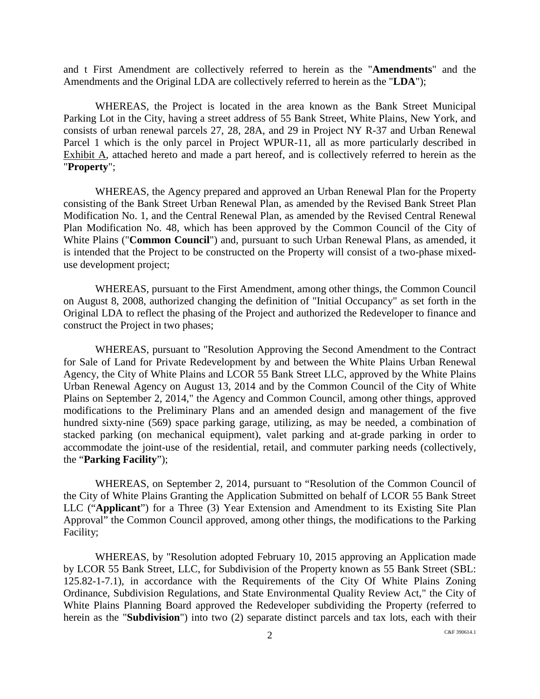and t First Amendment are collectively referred to herein as the "**Amendments**" and the Amendments and the Original LDA are collectively referred to herein as the "**LDA**");

WHEREAS, the Project is located in the area known as the Bank Street Municipal Parking Lot in the City, having a street address of 55 Bank Street, White Plains, New York, and consists of urban renewal parcels 27, 28, 28A, and 29 in Project NY R-37 and Urban Renewal Parcel 1 which is the only parcel in Project WPUR-11, all as more particularly described in Exhibit A, attached hereto and made a part hereof, and is collectively referred to herein as the "**Property**";

WHEREAS, the Agency prepared and approved an Urban Renewal Plan for the Property consisting of the Bank Street Urban Renewal Plan, as amended by the Revised Bank Street Plan Modification No. 1, and the Central Renewal Plan, as amended by the Revised Central Renewal Plan Modification No. 48, which has been approved by the Common Council of the City of White Plains ("**Common Council**") and, pursuant to such Urban Renewal Plans, as amended, it is intended that the Project to be constructed on the Property will consist of a two-phase mixeduse development project;

WHEREAS, pursuant to the First Amendment, among other things, the Common Council on August 8, 2008, authorized changing the definition of "Initial Occupancy" as set forth in the Original LDA to reflect the phasing of the Project and authorized the Redeveloper to finance and construct the Project in two phases;

WHEREAS, pursuant to "Resolution Approving the Second Amendment to the Contract for Sale of Land for Private Redevelopment by and between the White Plains Urban Renewal Agency, the City of White Plains and LCOR 55 Bank Street LLC, approved by the White Plains Urban Renewal Agency on August 13, 2014 and by the Common Council of the City of White Plains on September 2, 2014," the Agency and Common Council, among other things, approved modifications to the Preliminary Plans and an amended design and management of the five hundred sixty-nine (569) space parking garage, utilizing, as may be needed, a combination of stacked parking (on mechanical equipment), valet parking and at-grade parking in order to accommodate the joint-use of the residential, retail, and commuter parking needs (collectively, the "**Parking Facility**");

WHEREAS, on September 2, 2014, pursuant to "Resolution of the Common Council of the City of White Plains Granting the Application Submitted on behalf of LCOR 55 Bank Street LLC ("**Applicant**") for a Three (3) Year Extension and Amendment to its Existing Site Plan Approval" the Common Council approved, among other things, the modifications to the Parking Facility;

WHEREAS, by "Resolution adopted February 10, 2015 approving an Application made by LCOR 55 Bank Street, LLC, for Subdivision of the Property known as 55 Bank Street (SBL: 125.82-1-7.1), in accordance with the Requirements of the City Of White Plains Zoning Ordinance, Subdivision Regulations, and State Environmental Quality Review Act," the City of White Plains Planning Board approved the Redeveloper subdividing the Property (referred to herein as the "**Subdivision**") into two (2) separate distinct parcels and tax lots, each with their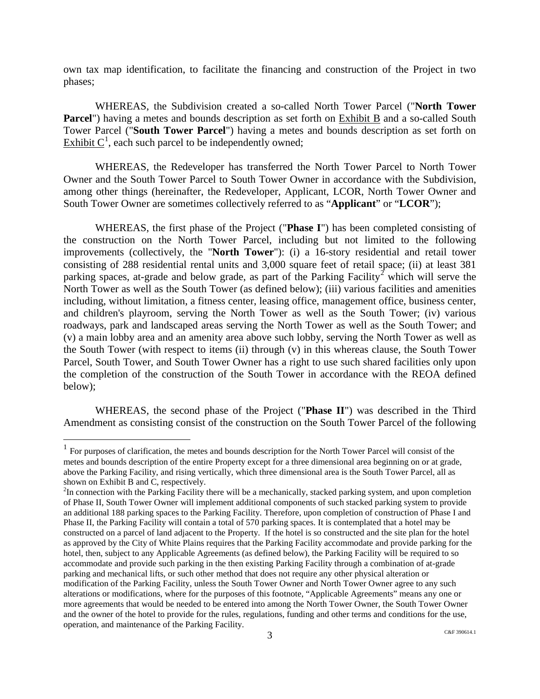own tax map identification, to facilitate the financing and construction of the Project in two phases;

WHEREAS, the Subdivision created a so-called North Tower Parcel ("**North Tower Parcel**") having a metes and bounds description as set forth on Exhibit B and a so-called South Tower Parcel ("**South Tower Parcel**") having a metes and bounds description as set forth on Exhibit  $C^1$  $C^1$ , each such parcel to be independently owned;

WHEREAS, the Redeveloper has transferred the North Tower Parcel to North Tower Owner and the South Tower Parcel to South Tower Owner in accordance with the Subdivision, among other things (hereinafter, the Redeveloper, Applicant, LCOR, North Tower Owner and South Tower Owner are sometimes collectively referred to as "**Applicant**" or "**LCOR**");

WHEREAS, the first phase of the Project ("**Phase I**") has been completed consisting of the construction on the North Tower Parcel, including but not limited to the following improvements (collectively, the "**North Tower**"): (i) a 16-story residential and retail tower consisting of 288 residential rental units and 3,000 square feet of retail space; (ii) at least 381 parking spaces, at-grade and below grade, as part of the Parking Facility<sup>[2](#page-11-1)</sup> which will serve the North Tower as well as the South Tower (as defined below); (iii) various facilities and amenities including, without limitation, a fitness center, leasing office, management office, business center, and children's playroom, serving the North Tower as well as the South Tower; (iv) various roadways, park and landscaped areas serving the North Tower as well as the South Tower; and (v) a main lobby area and an amenity area above such lobby, serving the North Tower as well as the South Tower (with respect to items (ii) through (v) in this whereas clause, the South Tower Parcel, South Tower, and South Tower Owner has a right to use such shared facilities only upon the completion of the construction of the South Tower in accordance with the REOA defined below);

WHEREAS, the second phase of the Project ("**Phase II**") was described in the Third Amendment as consisting consist of the construction on the South Tower Parcel of the following

<span id="page-11-0"></span> $<sup>1</sup>$  For purposes of clarification, the metes and bounds description for the North Tower Parcel will consist of the</sup> metes and bounds description of the entire Property except for a three dimensional area beginning on or at grade, above the Parking Facility, and rising vertically, which three dimensional area is the South Tower Parcel, all as shown on Exhibit B and C, respectively.

<span id="page-11-1"></span><sup>&</sup>lt;sup>2</sup>In connection with the Parking Facility there will be a mechanically, stacked parking system, and upon completion of Phase II, South Tower Owner will implement additional components of such stacked parking system to provide an additional 188 parking spaces to the Parking Facility. Therefore, upon completion of construction of Phase I and Phase II, the Parking Facility will contain a total of 570 parking spaces. It is contemplated that a hotel may be constructed on a parcel of land adjacent to the Property. If the hotel is so constructed and the site plan for the hotel as approved by the City of White Plains requires that the Parking Facility accommodate and provide parking for the hotel, then, subject to any Applicable Agreements (as defined below), the Parking Facility will be required to so accommodate and provide such parking in the then existing Parking Facility through a combination of at-grade parking and mechanical lifts, or such other method that does not require any other physical alteration or modification of the Parking Facility, unless the South Tower Owner and North Tower Owner agree to any such alterations or modifications, where for the purposes of this footnote, "Applicable Agreements" means any one or more agreements that would be needed to be entered into among the North Tower Owner, the South Tower Owner and the owner of the hotel to provide for the rules, regulations, funding and other terms and conditions for the use, operation, and maintenance of the Parking Facility.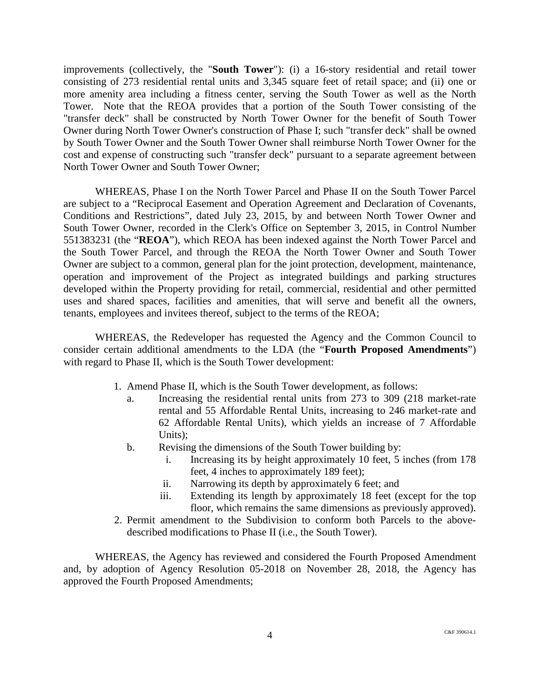improvements (collectively, the "**South Tower**"): (i) a 16-story residential and retail tower consisting of 273 residential rental units and 3,345 square feet of retail space; and (ii) one or more amenity area including a fitness center, serving the South Tower as well as the North Tower. Note that the REOA provides that a portion of the South Tower consisting of the "transfer deck" shall be constructed by North Tower Owner for the benefit of South Tower Owner during North Tower Owner's construction of Phase I; such "transfer deck" shall be owned by South Tower Owner and the South Tower Owner shall reimburse North Tower Owner for the cost and expense of constructing such "transfer deck" pursuant to a separate agreement between North Tower Owner and South Tower Owner;

WHEREAS, Phase I on the North Tower Parcel and Phase II on the South Tower Parcel are subject to a "Reciprocal Easement and Operation Agreement and Declaration of Covenants, Conditions and Restrictions", dated July 23, 2015, by and between North Tower Owner and South Tower Owner, recorded in the Clerk's Office on September 3, 2015, in Control Number 551383231 (the "**REOA**"), which REOA has been indexed against the North Tower Parcel and the South Tower Parcel, and through the REOA the North Tower Owner and South Tower Owner are subject to a common, general plan for the joint protection, development, maintenance, operation and improvement of the Project as integrated buildings and parking structures developed within the Property providing for retail, commercial, residential and other permitted uses and shared spaces, facilities and amenities, that will serve and benefit all the owners, tenants, employees and invitees thereof, subject to the terms of the REOA;

WHEREAS, the Redeveloper has requested the Agency and the Common Council to consider certain additional amendments to the LDA (the "**Fourth Proposed Amendments**") with regard to Phase II, which is the South Tower development:

- 1. Amend Phase II, which is the South Tower development, as follows:
	- a. Increasing the residential rental units from 273 to 309 (218 market-rate rental and 55 Affordable Rental Units, increasing to 246 market-rate and 62 Affordable Rental Units), which yields an increase of 7 Affordable Units);
	- b. Revising the dimensions of the South Tower building by:
		- i. Increasing its by height approximately 10 feet, 5 inches (from 178 feet, 4 inches to approximately 189 feet);
		- ii. Narrowing its depth by approximately 6 feet; and
		- iii. Extending its length by approximately 18 feet (except for the top floor, which remains the same dimensions as previously approved).
- 2. Permit amendment to the Subdivision to conform both Parcels to the abovedescribed modifications to Phase II (i.e., the South Tower).

WHEREAS, the Agency has reviewed and considered the Fourth Proposed Amendment and, by adoption of Agency Resolution 05-2018 on November 28, 2018, the Agency has approved the Fourth Proposed Amendments;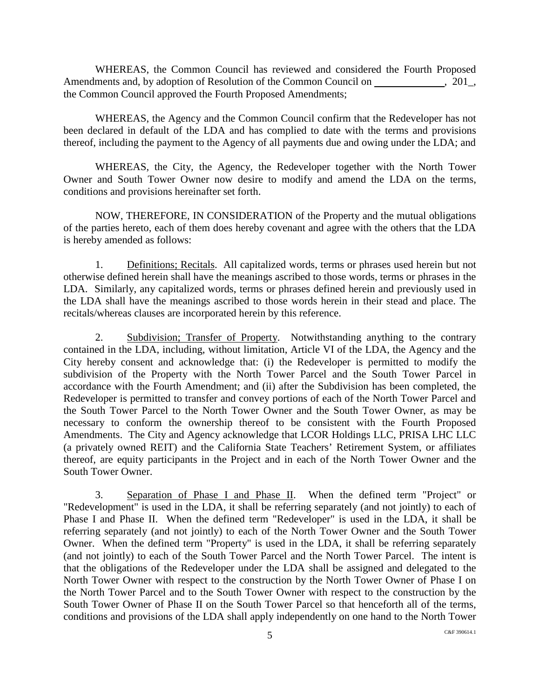WHEREAS, the Common Council has reviewed and considered the Fourth Proposed Amendments and, by adoption of Resolution of the Common Council on , 201, the Common Council approved the Fourth Proposed Amendments;

WHEREAS, the Agency and the Common Council confirm that the Redeveloper has not been declared in default of the LDA and has complied to date with the terms and provisions thereof, including the payment to the Agency of all payments due and owing under the LDA; and

WHEREAS, the City, the Agency, the Redeveloper together with the North Tower Owner and South Tower Owner now desire to modify and amend the LDA on the terms, conditions and provisions hereinafter set forth.

NOW, THEREFORE, IN CONSIDERATION of the Property and the mutual obligations of the parties hereto, each of them does hereby covenant and agree with the others that the LDA is hereby amended as follows:

1. Definitions; Recitals. All capitalized words, terms or phrases used herein but not otherwise defined herein shall have the meanings ascribed to those words, terms or phrases in the LDA. Similarly, any capitalized words, terms or phrases defined herein and previously used in the LDA shall have the meanings ascribed to those words herein in their stead and place. The recitals/whereas clauses are incorporated herein by this reference.

2. Subdivision; Transfer of Property. Notwithstanding anything to the contrary contained in the LDA, including, without limitation, Article VI of the LDA, the Agency and the City hereby consent and acknowledge that: (i) the Redeveloper is permitted to modify the subdivision of the Property with the North Tower Parcel and the South Tower Parcel in accordance with the Fourth Amendment; and (ii) after the Subdivision has been completed, the Redeveloper is permitted to transfer and convey portions of each of the North Tower Parcel and the South Tower Parcel to the North Tower Owner and the South Tower Owner, as may be necessary to conform the ownership thereof to be consistent with the Fourth Proposed Amendments. The City and Agency acknowledge that LCOR Holdings LLC, PRISA LHC LLC (a privately owned REIT) and the California State Teachers' Retirement System, or affiliates thereof, are equity participants in the Project and in each of the North Tower Owner and the South Tower Owner.

3. Separation of Phase I and Phase II. When the defined term "Project" or "Redevelopment" is used in the LDA, it shall be referring separately (and not jointly) to each of Phase I and Phase II. When the defined term "Redeveloper" is used in the LDA, it shall be referring separately (and not jointly) to each of the North Tower Owner and the South Tower Owner. When the defined term "Property" is used in the LDA, it shall be referring separately (and not jointly) to each of the South Tower Parcel and the North Tower Parcel. The intent is that the obligations of the Redeveloper under the LDA shall be assigned and delegated to the North Tower Owner with respect to the construction by the North Tower Owner of Phase I on the North Tower Parcel and to the South Tower Owner with respect to the construction by the South Tower Owner of Phase II on the South Tower Parcel so that henceforth all of the terms, conditions and provisions of the LDA shall apply independently on one hand to the North Tower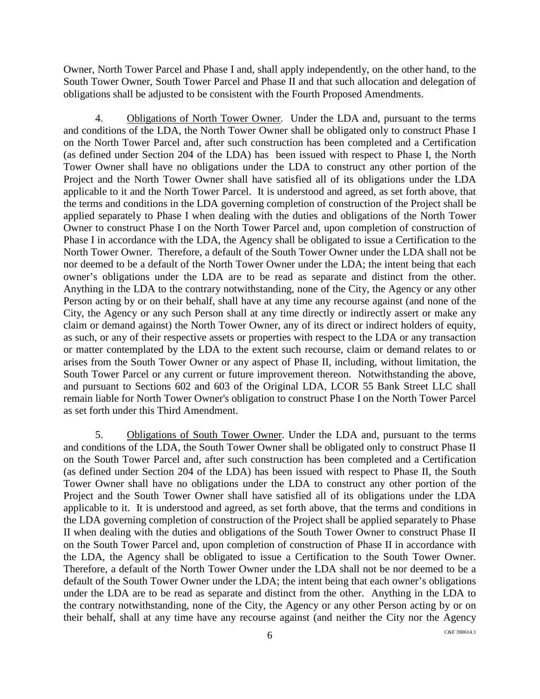Owner, North Tower Parcel and Phase I and, shall apply independently, on the other hand, to the South Tower Owner, South Tower Parcel and Phase II and that such allocation and delegation of obligations shall be adjusted to be consistent with the Fourth Proposed Amendments.

4. Obligations of North Tower Owner. Under the LDA and, pursuant to the terms and conditions of the LDA, the North Tower Owner shall be obligated only to construct Phase I on the North Tower Parcel and, after such construction has been completed and a Certification (as defined under Section 204 of the LDA) has been issued with respect to Phase I, the North Tower Owner shall have no obligations under the LDA to construct any other portion of the Project and the North Tower Owner shall have satisfied all of its obligations under the LDA applicable to it and the North Tower Parcel. It is understood and agreed, as set forth above, that the terms and conditions in the LDA governing completion of construction of the Project shall be applied separately to Phase I when dealing with the duties and obligations of the North Tower Owner to construct Phase I on the North Tower Parcel and, upon completion of construction of Phase I in accordance with the LDA, the Agency shall be obligated to issue a Certification to the North Tower Owner. Therefore, a default of the South Tower Owner under the LDA shall not be nor deemed to be a default of the North Tower Owner under the LDA; the intent being that each owner's obligations under the LDA are to be read as separate and distinct from the other. Anything in the LDA to the contrary notwithstanding, none of the City, the Agency or any other Person acting by or on their behalf, shall have at any time any recourse against (and none of the City, the Agency or any such Person shall at any time directly or indirectly assert or make any claim or demand against) the North Tower Owner, any of its direct or indirect holders of equity, as such, or any of their respective assets or properties with respect to the LDA or any transaction or matter contemplated by the LDA to the extent such recourse, claim or demand relates to or arises from the South Tower Owner or any aspect of Phase II, including, without limitation, the South Tower Parcel or any current or future improvement thereon. Notwithstanding the above, and pursuant to Sections 602 and 603 of the Original LDA, LCOR 55 Bank Street LLC shall remain liable for North Tower Owner's obligation to construct Phase I on the North Tower Parcel as set forth under this Third Amendment.

5. Obligations of South Tower Owner. Under the LDA and, pursuant to the terms and conditions of the LDA, the South Tower Owner shall be obligated only to construct Phase II on the South Tower Parcel and, after such construction has been completed and a Certification (as defined under Section 204 of the LDA) has been issued with respect to Phase II, the South Tower Owner shall have no obligations under the LDA to construct any other portion of the Project and the South Tower Owner shall have satisfied all of its obligations under the LDA applicable to it. It is understood and agreed, as set forth above, that the terms and conditions in the LDA governing completion of construction of the Project shall be applied separately to Phase II when dealing with the duties and obligations of the South Tower Owner to construct Phase II on the South Tower Parcel and, upon completion of construction of Phase II in accordance with the LDA, the Agency shall be obligated to issue a Certification to the South Tower Owner. Therefore, a default of the North Tower Owner under the LDA shall not be nor deemed to be a default of the South Tower Owner under the LDA; the intent being that each owner's obligations under the LDA are to be read as separate and distinct from the other. Anything in the LDA to the contrary notwithstanding, none of the City, the Agency or any other Person acting by or on their behalf, shall at any time have any recourse against (and neither the City nor the Agency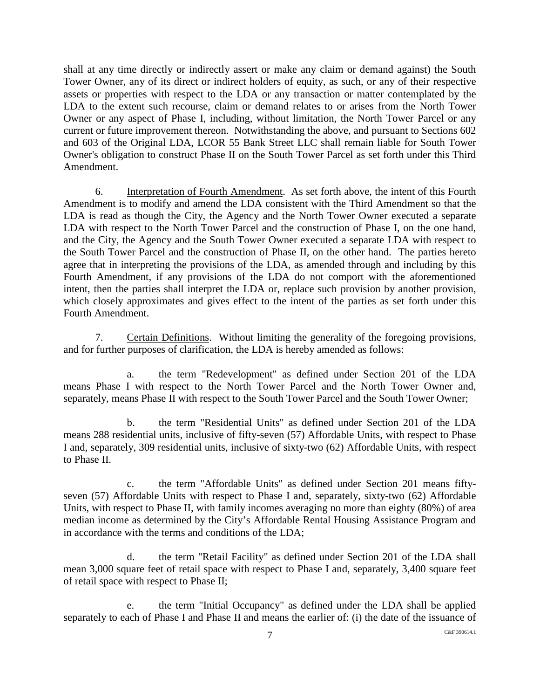shall at any time directly or indirectly assert or make any claim or demand against) the South Tower Owner, any of its direct or indirect holders of equity, as such, or any of their respective assets or properties with respect to the LDA or any transaction or matter contemplated by the LDA to the extent such recourse, claim or demand relates to or arises from the North Tower Owner or any aspect of Phase I, including, without limitation, the North Tower Parcel or any current or future improvement thereon. Notwithstanding the above, and pursuant to Sections 602 and 603 of the Original LDA, LCOR 55 Bank Street LLC shall remain liable for South Tower Owner's obligation to construct Phase II on the South Tower Parcel as set forth under this Third Amendment.

6. Interpretation of Fourth Amendment. As set forth above, the intent of this Fourth Amendment is to modify and amend the LDA consistent with the Third Amendment so that the LDA is read as though the City, the Agency and the North Tower Owner executed a separate LDA with respect to the North Tower Parcel and the construction of Phase I, on the one hand, and the City, the Agency and the South Tower Owner executed a separate LDA with respect to the South Tower Parcel and the construction of Phase II, on the other hand. The parties hereto agree that in interpreting the provisions of the LDA, as amended through and including by this Fourth Amendment, if any provisions of the LDA do not comport with the aforementioned intent, then the parties shall interpret the LDA or, replace such provision by another provision, which closely approximates and gives effect to the intent of the parties as set forth under this Fourth Amendment.

7. Certain Definitions. Without limiting the generality of the foregoing provisions, and for further purposes of clarification, the LDA is hereby amended as follows:

a. the term "Redevelopment" as defined under Section 201 of the LDA means Phase I with respect to the North Tower Parcel and the North Tower Owner and, separately, means Phase II with respect to the South Tower Parcel and the South Tower Owner;

b. the term "Residential Units" as defined under Section 201 of the LDA means 288 residential units, inclusive of fifty-seven (57) Affordable Units, with respect to Phase I and, separately, 309 residential units, inclusive of sixty-two (62) Affordable Units, with respect to Phase II.

c. the term "Affordable Units" as defined under Section 201 means fiftyseven (57) Affordable Units with respect to Phase I and, separately, sixty-two (62) Affordable Units, with respect to Phase II, with family incomes averaging no more than eighty (80%) of area median income as determined by the City's Affordable Rental Housing Assistance Program and in accordance with the terms and conditions of the LDA;

d. the term "Retail Facility" as defined under Section 201 of the LDA shall mean 3,000 square feet of retail space with respect to Phase I and, separately, 3,400 square feet of retail space with respect to Phase II;

e. the term "Initial Occupancy" as defined under the LDA shall be applied separately to each of Phase I and Phase II and means the earlier of: (i) the date of the issuance of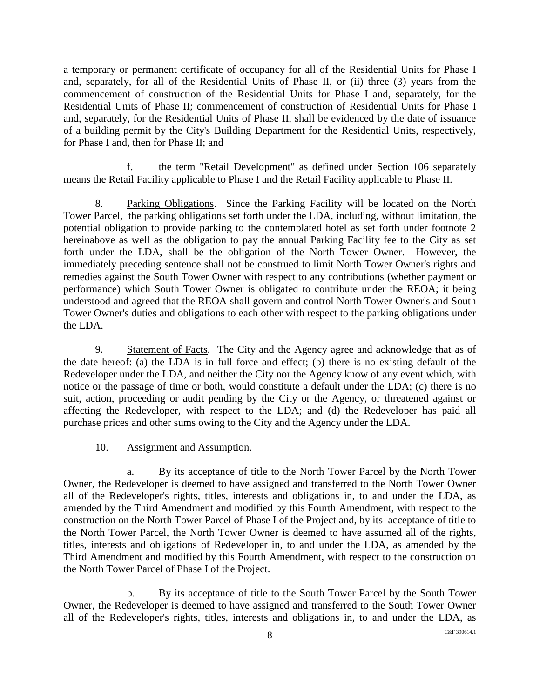a temporary or permanent certificate of occupancy for all of the Residential Units for Phase I and, separately, for all of the Residential Units of Phase II, or (ii) three (3) years from the commencement of construction of the Residential Units for Phase I and, separately, for the Residential Units of Phase II; commencement of construction of Residential Units for Phase I and, separately, for the Residential Units of Phase II, shall be evidenced by the date of issuance of a building permit by the City's Building Department for the Residential Units, respectively, for Phase I and, then for Phase II; and

f. the term "Retail Development" as defined under Section 106 separately means the Retail Facility applicable to Phase I and the Retail Facility applicable to Phase II.

8. Parking Obligations. Since the Parking Facility will be located on the North Tower Parcel, the parking obligations set forth under the LDA, including, without limitation, the potential obligation to provide parking to the contemplated hotel as set forth under footnote 2 hereinabove as well as the obligation to pay the annual Parking Facility fee to the City as set forth under the LDA, shall be the obligation of the North Tower Owner. However, the immediately preceding sentence shall not be construed to limit North Tower Owner's rights and remedies against the South Tower Owner with respect to any contributions (whether payment or performance) which South Tower Owner is obligated to contribute under the REOA; it being understood and agreed that the REOA shall govern and control North Tower Owner's and South Tower Owner's duties and obligations to each other with respect to the parking obligations under the LDA.

9. Statement of Facts. The City and the Agency agree and acknowledge that as of the date hereof: (a) the LDA is in full force and effect; (b) there is no existing default of the Redeveloper under the LDA, and neither the City nor the Agency know of any event which, with notice or the passage of time or both, would constitute a default under the LDA; (c) there is no suit, action, proceeding or audit pending by the City or the Agency, or threatened against or affecting the Redeveloper, with respect to the LDA; and (d) the Redeveloper has paid all purchase prices and other sums owing to the City and the Agency under the LDA.

#### 10. Assignment and Assumption.

a. By its acceptance of title to the North Tower Parcel by the North Tower Owner, the Redeveloper is deemed to have assigned and transferred to the North Tower Owner all of the Redeveloper's rights, titles, interests and obligations in, to and under the LDA, as amended by the Third Amendment and modified by this Fourth Amendment, with respect to the construction on the North Tower Parcel of Phase I of the Project and, by its acceptance of title to the North Tower Parcel, the North Tower Owner is deemed to have assumed all of the rights, titles, interests and obligations of Redeveloper in, to and under the LDA, as amended by the Third Amendment and modified by this Fourth Amendment, with respect to the construction on the North Tower Parcel of Phase I of the Project.

b. By its acceptance of title to the South Tower Parcel by the South Tower Owner, the Redeveloper is deemed to have assigned and transferred to the South Tower Owner all of the Redeveloper's rights, titles, interests and obligations in, to and under the LDA, as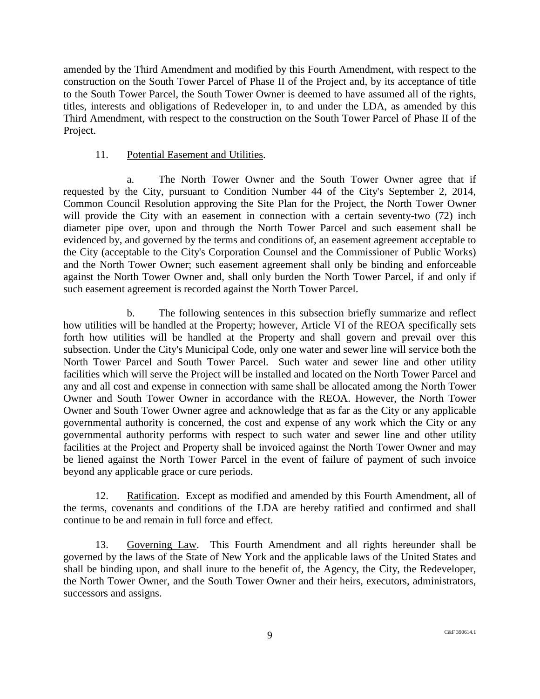amended by the Third Amendment and modified by this Fourth Amendment, with respect to the construction on the South Tower Parcel of Phase II of the Project and, by its acceptance of title to the South Tower Parcel, the South Tower Owner is deemed to have assumed all of the rights, titles, interests and obligations of Redeveloper in, to and under the LDA, as amended by this Third Amendment, with respect to the construction on the South Tower Parcel of Phase II of the Project.

#### 11. Potential Easement and Utilities.

a. The North Tower Owner and the South Tower Owner agree that if requested by the City, pursuant to Condition Number 44 of the City's September 2, 2014, Common Council Resolution approving the Site Plan for the Project, the North Tower Owner will provide the City with an easement in connection with a certain seventy-two (72) inch diameter pipe over, upon and through the North Tower Parcel and such easement shall be evidenced by, and governed by the terms and conditions of, an easement agreement acceptable to the City (acceptable to the City's Corporation Counsel and the Commissioner of Public Works) and the North Tower Owner; such easement agreement shall only be binding and enforceable against the North Tower Owner and, shall only burden the North Tower Parcel, if and only if such easement agreement is recorded against the North Tower Parcel.

b. The following sentences in this subsection briefly summarize and reflect how utilities will be handled at the Property; however, Article VI of the REOA specifically sets forth how utilities will be handled at the Property and shall govern and prevail over this subsection. Under the City's Municipal Code, only one water and sewer line will service both the North Tower Parcel and South Tower Parcel. Such water and sewer line and other utility facilities which will serve the Project will be installed and located on the North Tower Parcel and any and all cost and expense in connection with same shall be allocated among the North Tower Owner and South Tower Owner in accordance with the REOA. However, the North Tower Owner and South Tower Owner agree and acknowledge that as far as the City or any applicable governmental authority is concerned, the cost and expense of any work which the City or any governmental authority performs with respect to such water and sewer line and other utility facilities at the Project and Property shall be invoiced against the North Tower Owner and may be liened against the North Tower Parcel in the event of failure of payment of such invoice beyond any applicable grace or cure periods.

12. Ratification. Except as modified and amended by this Fourth Amendment, all of the terms, covenants and conditions of the LDA are hereby ratified and confirmed and shall continue to be and remain in full force and effect.

13. Governing Law. This Fourth Amendment and all rights hereunder shall be governed by the laws of the State of New York and the applicable laws of the United States and shall be binding upon, and shall inure to the benefit of, the Agency, the City, the Redeveloper, the North Tower Owner, and the South Tower Owner and their heirs, executors, administrators, successors and assigns.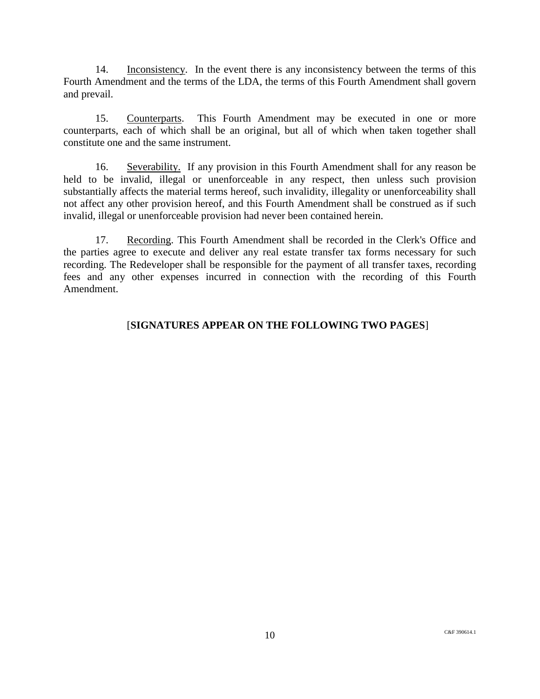14. Inconsistency. In the event there is any inconsistency between the terms of this Fourth Amendment and the terms of the LDA, the terms of this Fourth Amendment shall govern and prevail.

15. Counterparts. This Fourth Amendment may be executed in one or more counterparts, each of which shall be an original, but all of which when taken together shall constitute one and the same instrument.

16. Severability. If any provision in this Fourth Amendment shall for any reason be held to be invalid, illegal or unenforceable in any respect, then unless such provision substantially affects the material terms hereof, such invalidity, illegality or unenforceability shall not affect any other provision hereof, and this Fourth Amendment shall be construed as if such invalid, illegal or unenforceable provision had never been contained herein.

17. Recording. This Fourth Amendment shall be recorded in the Clerk's Office and the parties agree to execute and deliver any real estate transfer tax forms necessary for such recording. The Redeveloper shall be responsible for the payment of all transfer taxes, recording fees and any other expenses incurred in connection with the recording of this Fourth Amendment.

## [**SIGNATURES APPEAR ON THE FOLLOWING TWO PAGES**]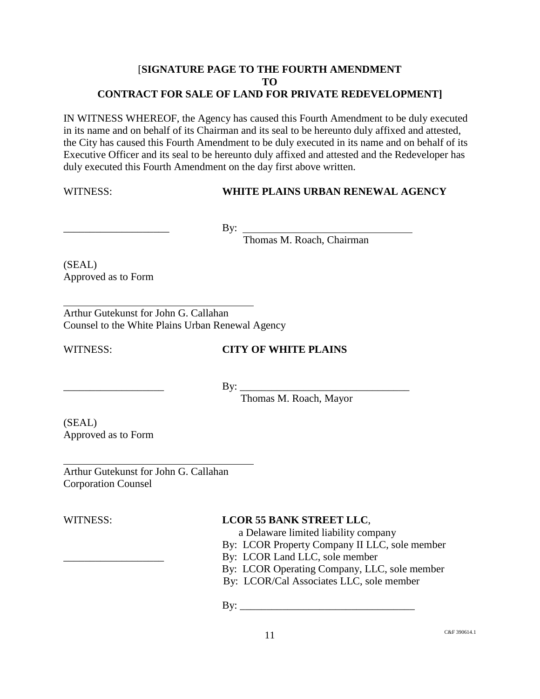### [**SIGNATURE PAGE TO THE FOURTH AMENDMENT TO CONTRACT FOR SALE OF LAND FOR PRIVATE REDEVELOPMENT]**

IN WITNESS WHEREOF, the Agency has caused this Fourth Amendment to be duly executed in its name and on behalf of its Chairman and its seal to be hereunto duly affixed and attested, the City has caused this Fourth Amendment to be duly executed in its name and on behalf of its Executive Officer and its seal to be hereunto duly affixed and attested and the Redeveloper has duly executed this Fourth Amendment on the day first above written.

#### WITNESS: **WHITE PLAINS URBAN RENEWAL AGENCY**

 $\overline{\phantom{a}}$  By:

Thomas M. Roach, Chairman

(SEAL) Approved as to Form

Arthur Gutekunst for John G. Callahan Counsel to the White Plains Urban Renewal Agency

## WITNESS: **CITY OF WHITE PLAINS**

\_\_\_\_\_\_\_\_\_\_\_\_\_\_\_\_\_\_\_ By: \_\_\_\_\_\_\_\_\_\_\_\_\_\_\_\_\_\_\_\_\_\_\_\_\_\_\_\_\_\_\_\_

Thomas M. Roach, Mayor

(SEAL) Approved as to Form

Arthur Gutekunst for John G. Callahan Corporation Counsel

## WITNESS: **LCOR 55 BANK STREET LLC**,

a Delaware limited liability company

- By: LCOR Property Company II LLC, sole member
- By: LCOR Land LLC, sole member

By: LCOR Operating Company, LLC, sole member

By: LCOR/Cal Associates LLC, sole member

By: \_\_\_\_\_\_\_\_\_\_\_\_\_\_\_\_\_\_\_\_\_\_\_\_\_\_\_\_\_\_\_\_\_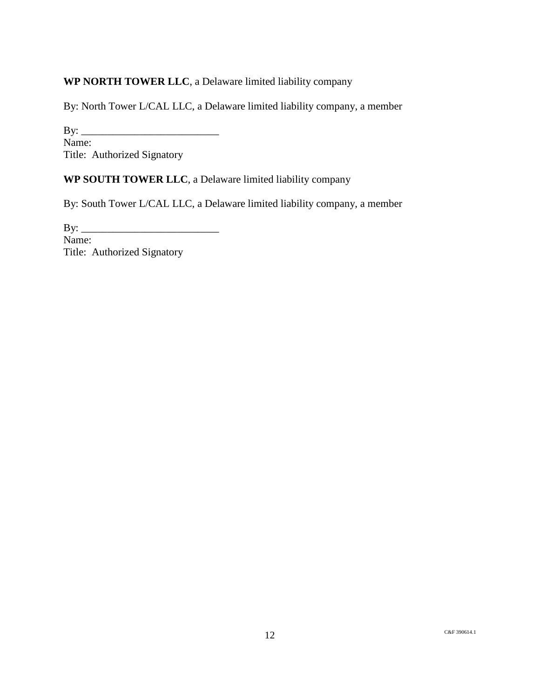## **WP NORTH TOWER LLC**, a Delaware limited liability company

By: North Tower L/CAL LLC, a Delaware limited liability company, a member

By: \_\_\_\_\_\_\_\_\_\_\_\_\_\_\_\_\_\_\_\_\_\_\_\_\_\_ Name: Title: Authorized Signatory

### **WP SOUTH TOWER LLC**, a Delaware limited liability company

By: South Tower L/CAL LLC, a Delaware limited liability company, a member

By: \_\_\_\_\_\_\_\_\_\_\_\_\_\_\_\_\_\_\_\_\_\_\_\_\_\_ Name: Title: Authorized Signatory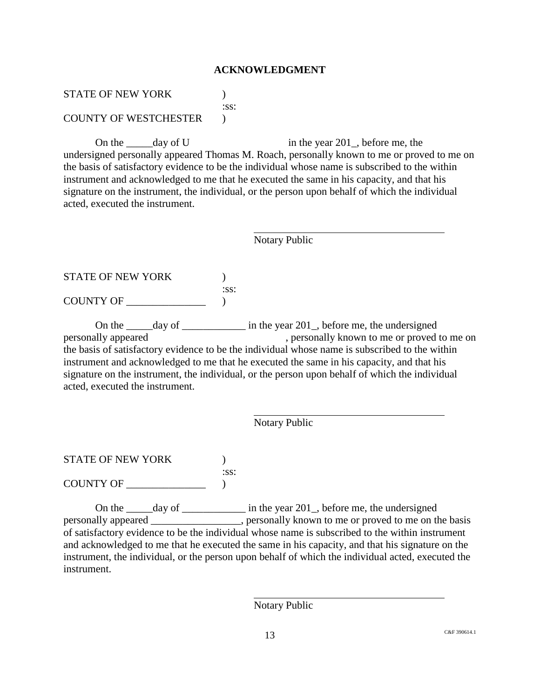#### **ACKNOWLEDGMENT**

STATE OF NEW YORK  $\qquad \qquad$  ) :ss:

COUNTY OF WESTCHESTER )

On the  $\frac{1}{2}$  day of U in the year 201, before me, the undersigned personally appeared Thomas M. Roach, personally known to me or proved to me on the basis of satisfactory evidence to be the individual whose name is subscribed to the within instrument and acknowledged to me that he executed the same in his capacity, and that his signature on the instrument, the individual, or the person upon behalf of which the individual acted, executed the instrument.

Notary Public

STATE OF NEW YORK  $\qquad \qquad$  ) :ss: COUNTY OF \_\_\_\_\_\_\_\_\_\_\_\_\_\_\_ )

On the  $\frac{1}{201}$  day of  $\frac{1}{201}$  in the year 201, before me, the undersigned personally appeared , personally known to me or proved to me on the basis of satisfactory evidence to be the individual whose name is subscribed to the within instrument and acknowledged to me that he executed the same in his capacity, and that his signature on the instrument, the individual, or the person upon behalf of which the individual acted, executed the instrument.

Notary Public

STATE OF NEW YORK  $\hspace{2cm}$  )

COUNTY OF \_\_\_\_\_\_\_\_\_\_\_\_\_\_\_ )

On the \_\_\_\_\_day of \_\_\_\_\_\_\_\_\_\_\_\_\_ in the year 201\_, before me, the undersigned personally appeared \_\_\_\_\_\_\_\_\_\_\_\_\_\_\_\_\_, personally known to me or proved to me on the basis of satisfactory evidence to be the individual whose name is subscribed to the within instrument and acknowledged to me that he executed the same in his capacity, and that his signature on the instrument, the individual, or the person upon behalf of which the individual acted, executed the instrument.

:ss:

Notary Public

 $13$  C&F 390614.1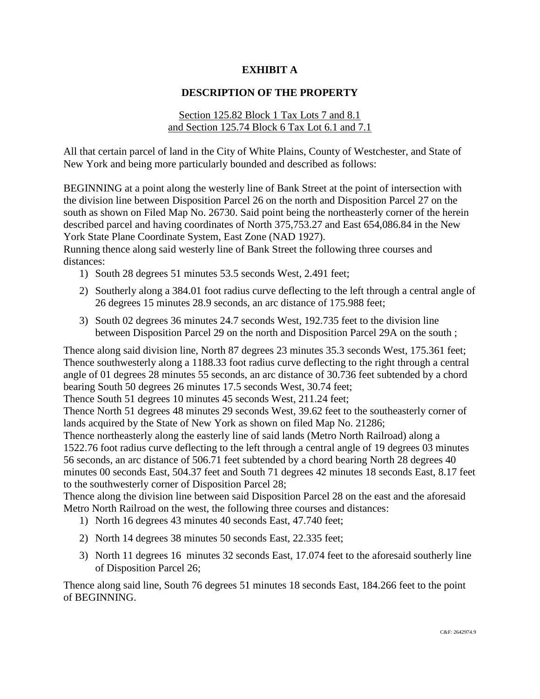### **EXHIBIT A**

### **DESCRIPTION OF THE PROPERTY**

#### Section 125.82 Block 1 Tax Lots 7 and 8.1 and Section 125.74 Block 6 Tax Lot 6.1 and 7.1

All that certain parcel of land in the City of White Plains, County of Westchester, and State of New York and being more particularly bounded and described as follows:

BEGINNING at a point along the westerly line of Bank Street at the point of intersection with the division line between Disposition Parcel 26 on the north and Disposition Parcel 27 on the south as shown on Filed Map No. 26730. Said point being the northeasterly corner of the herein described parcel and having coordinates of North 375,753.27 and East 654,086.84 in the New York State Plane Coordinate System, East Zone (NAD 1927).

Running thence along said westerly line of Bank Street the following three courses and distances:

- 1) South 28 degrees 51 minutes 53.5 seconds West, 2.491 feet;
- 2) Southerly along a 384.01 foot radius curve deflecting to the left through a central angle of 26 degrees 15 minutes 28.9 seconds, an arc distance of 175.988 feet;
- 3) South 02 degrees 36 minutes 24.7 seconds West, 192.735 feet to the division line between Disposition Parcel 29 on the north and Disposition Parcel 29A on the south ;

Thence along said division line, North 87 degrees 23 minutes 35.3 seconds West, 175.361 feet; Thence southwesterly along a 1188.33 foot radius curve deflecting to the right through a central angle of 01 degrees 28 minutes 55 seconds, an arc distance of 30.736 feet subtended by a chord bearing South 50 degrees 26 minutes 17.5 seconds West, 30.74 feet;

Thence South 51 degrees 10 minutes 45 seconds West, 211.24 feet;

Thence North 51 degrees 48 minutes 29 seconds West, 39.62 feet to the southeasterly corner of lands acquired by the State of New York as shown on filed Map No. 21286;

Thence northeasterly along the easterly line of said lands (Metro North Railroad) along a 1522.76 foot radius curve deflecting to the left through a central angle of 19 degrees 03 minutes 56 seconds, an arc distance of 506.71 feet subtended by a chord bearing North 28 degrees 40 minutes 00 seconds East, 504.37 feet and South 71 degrees 42 minutes 18 seconds East, 8.17 feet to the southwesterly corner of Disposition Parcel 28;

Thence along the division line between said Disposition Parcel 28 on the east and the aforesaid Metro North Railroad on the west, the following three courses and distances:

- 1) North 16 degrees 43 minutes 40 seconds East, 47.740 feet;
- 2) North 14 degrees 38 minutes 50 seconds East, 22.335 feet;
- 3) North 11 degrees 16 minutes 32 seconds East, 17.074 feet to the aforesaid southerly line of Disposition Parcel 26;

Thence along said line, South 76 degrees 51 minutes 18 seconds East, 184.266 feet to the point of BEGINNING.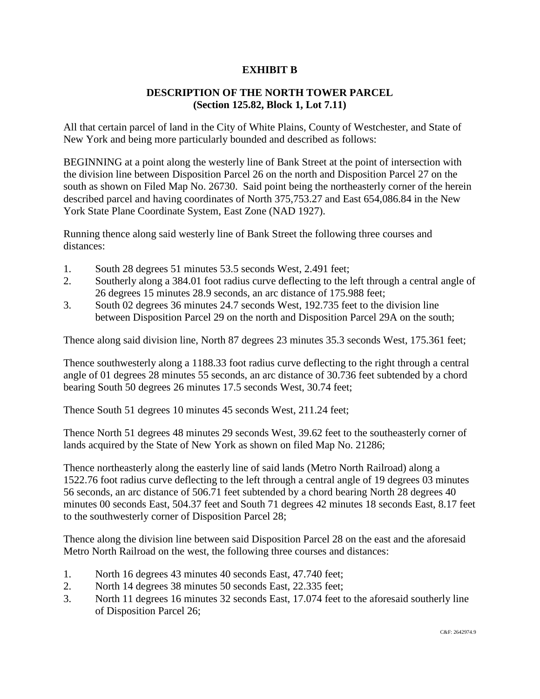### **EXHIBIT B**

### **DESCRIPTION OF THE NORTH TOWER PARCEL (Section 125.82, Block 1, Lot 7.11)**

All that certain parcel of land in the City of White Plains, County of Westchester, and State of New York and being more particularly bounded and described as follows:

BEGINNING at a point along the westerly line of Bank Street at the point of intersection with the division line between Disposition Parcel 26 on the north and Disposition Parcel 27 on the south as shown on Filed Map No. 26730. Said point being the northeasterly corner of the herein described parcel and having coordinates of North 375,753.27 and East 654,086.84 in the New York State Plane Coordinate System, East Zone (NAD 1927).

Running thence along said westerly line of Bank Street the following three courses and distances:

- 1. South 28 degrees 51 minutes 53.5 seconds West, 2.491 feet;
- 2. Southerly along a 384.01 foot radius curve deflecting to the left through a central angle of 26 degrees 15 minutes 28.9 seconds, an arc distance of 175.988 feet;
- 3. South 02 degrees 36 minutes 24.7 seconds West, 192.735 feet to the division line between Disposition Parcel 29 on the north and Disposition Parcel 29A on the south;

Thence along said division line, North 87 degrees 23 minutes 35.3 seconds West, 175.361 feet;

Thence southwesterly along a 1188.33 foot radius curve deflecting to the right through a central angle of 01 degrees 28 minutes 55 seconds, an arc distance of 30.736 feet subtended by a chord bearing South 50 degrees 26 minutes 17.5 seconds West, 30.74 feet;

Thence South 51 degrees 10 minutes 45 seconds West, 211.24 feet;

Thence North 51 degrees 48 minutes 29 seconds West, 39.62 feet to the southeasterly corner of lands acquired by the State of New York as shown on filed Map No. 21286;

Thence northeasterly along the easterly line of said lands (Metro North Railroad) along a 1522.76 foot radius curve deflecting to the left through a central angle of 19 degrees 03 minutes 56 seconds, an arc distance of 506.71 feet subtended by a chord bearing North 28 degrees 40 minutes 00 seconds East, 504.37 feet and South 71 degrees 42 minutes 18 seconds East, 8.17 feet to the southwesterly corner of Disposition Parcel 28;

Thence along the division line between said Disposition Parcel 28 on the east and the aforesaid Metro North Railroad on the west, the following three courses and distances:

- 1. North 16 degrees 43 minutes 40 seconds East, 47.740 feet;
- 2. North 14 degrees 38 minutes 50 seconds East, 22.335 feet;
- 3. North 11 degrees 16 minutes 32 seconds East, 17.074 feet to the aforesaid southerly line of Disposition Parcel 26;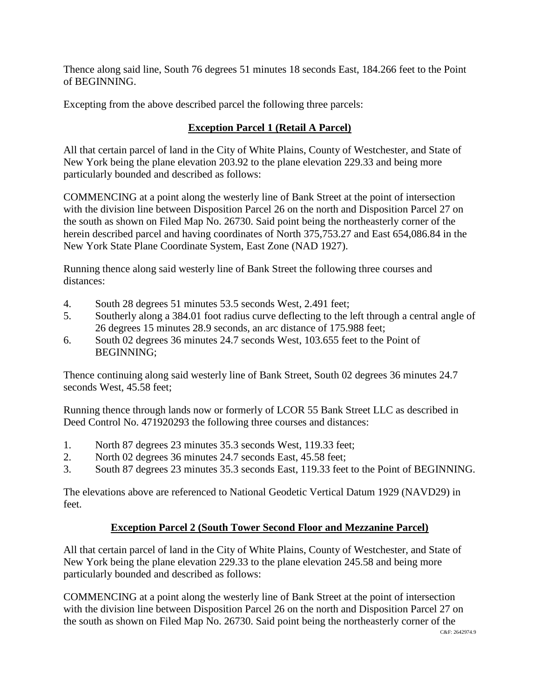Thence along said line, South 76 degrees 51 minutes 18 seconds East, 184.266 feet to the Point of BEGINNING.

Excepting from the above described parcel the following three parcels:

# **Exception Parcel 1 (Retail A Parcel)**

All that certain parcel of land in the City of White Plains, County of Westchester, and State of New York being the plane elevation 203.92 to the plane elevation 229.33 and being more particularly bounded and described as follows:

COMMENCING at a point along the westerly line of Bank Street at the point of intersection with the division line between Disposition Parcel 26 on the north and Disposition Parcel 27 on the south as shown on Filed Map No. 26730. Said point being the northeasterly corner of the herein described parcel and having coordinates of North 375,753.27 and East 654,086.84 in the New York State Plane Coordinate System, East Zone (NAD 1927).

Running thence along said westerly line of Bank Street the following three courses and distances:

- 4. South 28 degrees 51 minutes 53.5 seconds West, 2.491 feet;
- 5. Southerly along a 384.01 foot radius curve deflecting to the left through a central angle of 26 degrees 15 minutes 28.9 seconds, an arc distance of 175.988 feet;
- 6. South 02 degrees 36 minutes 24.7 seconds West, 103.655 feet to the Point of BEGINNING;

Thence continuing along said westerly line of Bank Street, South 02 degrees 36 minutes 24.7 seconds West, 45.58 feet;

Running thence through lands now or formerly of LCOR 55 Bank Street LLC as described in Deed Control No. 471920293 the following three courses and distances:

- 1. North 87 degrees 23 minutes 35.3 seconds West, 119.33 feet;
- 2. North 02 degrees 36 minutes 24.7 seconds East, 45.58 feet;
- 3. South 87 degrees 23 minutes 35.3 seconds East, 119.33 feet to the Point of BEGINNING.

The elevations above are referenced to National Geodetic Vertical Datum 1929 (NAVD29) in feet.

## **Exception Parcel 2 (South Tower Second Floor and Mezzanine Parcel)**

All that certain parcel of land in the City of White Plains, County of Westchester, and State of New York being the plane elevation 229.33 to the plane elevation 245.58 and being more particularly bounded and described as follows:

COMMENCING at a point along the westerly line of Bank Street at the point of intersection with the division line between Disposition Parcel 26 on the north and Disposition Parcel 27 on the south as shown on Filed Map No. 26730. Said point being the northeasterly corner of the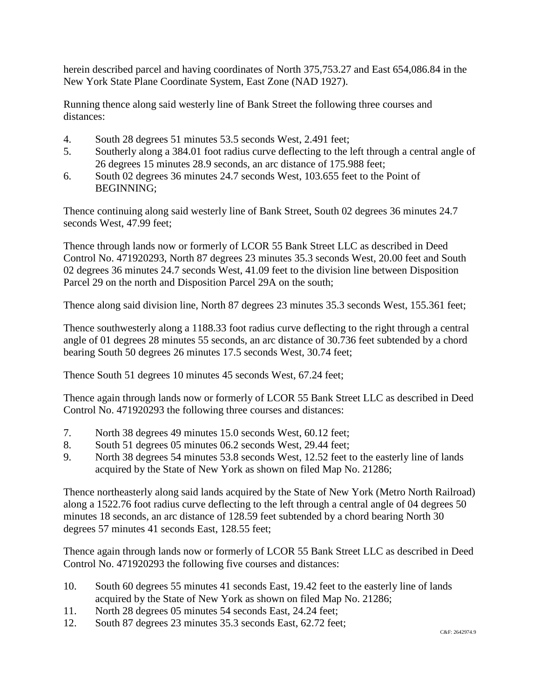herein described parcel and having coordinates of North 375,753.27 and East 654,086.84 in the New York State Plane Coordinate System, East Zone (NAD 1927).

Running thence along said westerly line of Bank Street the following three courses and distances:

- 4. South 28 degrees 51 minutes 53.5 seconds West, 2.491 feet;
- 5. Southerly along a 384.01 foot radius curve deflecting to the left through a central angle of 26 degrees 15 minutes 28.9 seconds, an arc distance of 175.988 feet;
- 6. South 02 degrees 36 minutes 24.7 seconds West, 103.655 feet to the Point of BEGINNING;

Thence continuing along said westerly line of Bank Street, South 02 degrees 36 minutes 24.7 seconds West, 47.99 feet;

Thence through lands now or formerly of LCOR 55 Bank Street LLC as described in Deed Control No. 471920293, North 87 degrees 23 minutes 35.3 seconds West, 20.00 feet and South 02 degrees 36 minutes 24.7 seconds West, 41.09 feet to the division line between Disposition Parcel 29 on the north and Disposition Parcel 29A on the south;

Thence along said division line, North 87 degrees 23 minutes 35.3 seconds West, 155.361 feet;

Thence southwesterly along a 1188.33 foot radius curve deflecting to the right through a central angle of 01 degrees 28 minutes 55 seconds, an arc distance of 30.736 feet subtended by a chord bearing South 50 degrees 26 minutes 17.5 seconds West, 30.74 feet;

Thence South 51 degrees 10 minutes 45 seconds West, 67.24 feet;

Thence again through lands now or formerly of LCOR 55 Bank Street LLC as described in Deed Control No. 471920293 the following three courses and distances:

- 7. North 38 degrees 49 minutes 15.0 seconds West, 60.12 feet;
- 8. South 51 degrees 05 minutes 06.2 seconds West, 29.44 feet;
- 9. North 38 degrees 54 minutes 53.8 seconds West, 12.52 feet to the easterly line of lands acquired by the State of New York as shown on filed Map No. 21286;

Thence northeasterly along said lands acquired by the State of New York (Metro North Railroad) along a 1522.76 foot radius curve deflecting to the left through a central angle of 04 degrees 50 minutes 18 seconds, an arc distance of 128.59 feet subtended by a chord bearing North 30 degrees 57 minutes 41 seconds East, 128.55 feet;

Thence again through lands now or formerly of LCOR 55 Bank Street LLC as described in Deed Control No. 471920293 the following five courses and distances:

- 10. South 60 degrees 55 minutes 41 seconds East, 19.42 feet to the easterly line of lands acquired by the State of New York as shown on filed Map No. 21286;
- 11. North 28 degrees 05 minutes 54 seconds East, 24.24 feet;
- 12. South 87 degrees 23 minutes 35.3 seconds East, 62.72 feet;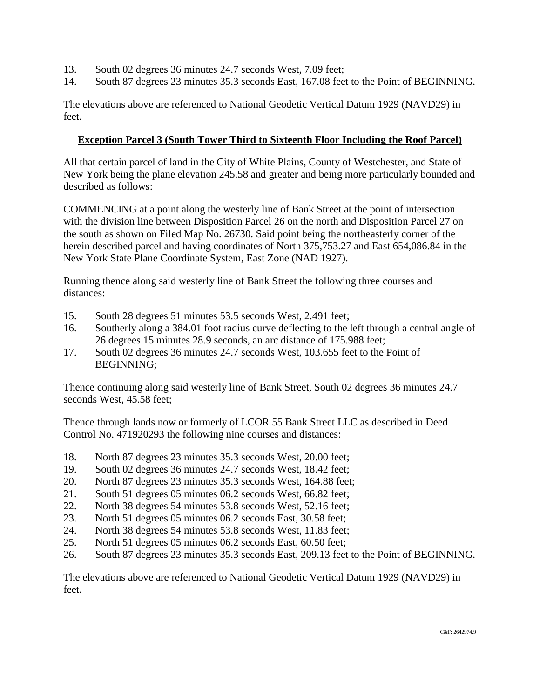- 13. South 02 degrees 36 minutes 24.7 seconds West, 7.09 feet;
- 14. South 87 degrees 23 minutes 35.3 seconds East, 167.08 feet to the Point of BEGINNING.

The elevations above are referenced to National Geodetic Vertical Datum 1929 (NAVD29) in feet.

#### **Exception Parcel 3 (South Tower Third to Sixteenth Floor Including the Roof Parcel)**

All that certain parcel of land in the City of White Plains, County of Westchester, and State of New York being the plane elevation 245.58 and greater and being more particularly bounded and described as follows:

COMMENCING at a point along the westerly line of Bank Street at the point of intersection with the division line between Disposition Parcel 26 on the north and Disposition Parcel 27 on the south as shown on Filed Map No. 26730. Said point being the northeasterly corner of the herein described parcel and having coordinates of North 375,753.27 and East 654,086.84 in the New York State Plane Coordinate System, East Zone (NAD 1927).

Running thence along said westerly line of Bank Street the following three courses and distances:

- 15. South 28 degrees 51 minutes 53.5 seconds West, 2.491 feet;
- 16. Southerly along a 384.01 foot radius curve deflecting to the left through a central angle of 26 degrees 15 minutes 28.9 seconds, an arc distance of 175.988 feet;
- 17. South 02 degrees 36 minutes 24.7 seconds West, 103.655 feet to the Point of BEGINNING;

Thence continuing along said westerly line of Bank Street, South 02 degrees 36 minutes 24.7 seconds West, 45.58 feet;

Thence through lands now or formerly of LCOR 55 Bank Street LLC as described in Deed Control No. 471920293 the following nine courses and distances:

- 18. North 87 degrees 23 minutes 35.3 seconds West, 20.00 feet;
- 19. South 02 degrees 36 minutes 24.7 seconds West, 18.42 feet;
- 20. North 87 degrees 23 minutes 35.3 seconds West, 164.88 feet;
- 21. South 51 degrees 05 minutes 06.2 seconds West, 66.82 feet;
- 22. North 38 degrees 54 minutes 53.8 seconds West, 52.16 feet;
- 23. North 51 degrees 05 minutes 06.2 seconds East, 30.58 feet;
- 24. North 38 degrees 54 minutes 53.8 seconds West, 11.83 feet;
- 25. North 51 degrees 05 minutes 06.2 seconds East, 60.50 feet;
- 26. South 87 degrees 23 minutes 35.3 seconds East, 209.13 feet to the Point of BEGINNING.

The elevations above are referenced to National Geodetic Vertical Datum 1929 (NAVD29) in feet.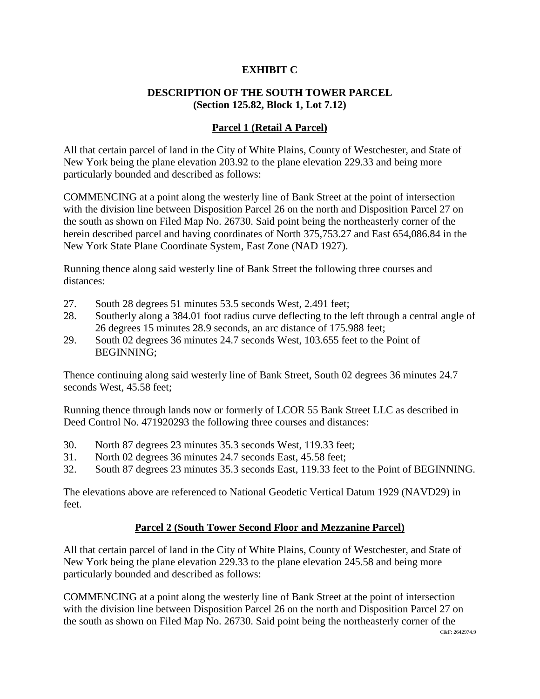### **EXHIBIT C**

## **DESCRIPTION OF THE SOUTH TOWER PARCEL (Section 125.82, Block 1, Lot 7.12)**

#### **Parcel 1 (Retail A Parcel)**

All that certain parcel of land in the City of White Plains, County of Westchester, and State of New York being the plane elevation 203.92 to the plane elevation 229.33 and being more particularly bounded and described as follows:

COMMENCING at a point along the westerly line of Bank Street at the point of intersection with the division line between Disposition Parcel 26 on the north and Disposition Parcel 27 on the south as shown on Filed Map No. 26730. Said point being the northeasterly corner of the herein described parcel and having coordinates of North 375,753.27 and East 654,086.84 in the New York State Plane Coordinate System, East Zone (NAD 1927).

Running thence along said westerly line of Bank Street the following three courses and distances:

- 27. South 28 degrees 51 minutes 53.5 seconds West, 2.491 feet;
- 28. Southerly along a 384.01 foot radius curve deflecting to the left through a central angle of 26 degrees 15 minutes 28.9 seconds, an arc distance of 175.988 feet;
- 29. South 02 degrees 36 minutes 24.7 seconds West, 103.655 feet to the Point of BEGINNING;

Thence continuing along said westerly line of Bank Street, South 02 degrees 36 minutes 24.7 seconds West, 45.58 feet;

Running thence through lands now or formerly of LCOR 55 Bank Street LLC as described in Deed Control No. 471920293 the following three courses and distances:

- 30. North 87 degrees 23 minutes 35.3 seconds West, 119.33 feet;
- 31. North 02 degrees 36 minutes 24.7 seconds East, 45.58 feet;
- 32. South 87 degrees 23 minutes 35.3 seconds East, 119.33 feet to the Point of BEGINNING.

The elevations above are referenced to National Geodetic Vertical Datum 1929 (NAVD29) in feet.

#### **Parcel 2 (South Tower Second Floor and Mezzanine Parcel)**

All that certain parcel of land in the City of White Plains, County of Westchester, and State of New York being the plane elevation 229.33 to the plane elevation 245.58 and being more particularly bounded and described as follows:

COMMENCING at a point along the westerly line of Bank Street at the point of intersection with the division line between Disposition Parcel 26 on the north and Disposition Parcel 27 on the south as shown on Filed Map No. 26730. Said point being the northeasterly corner of the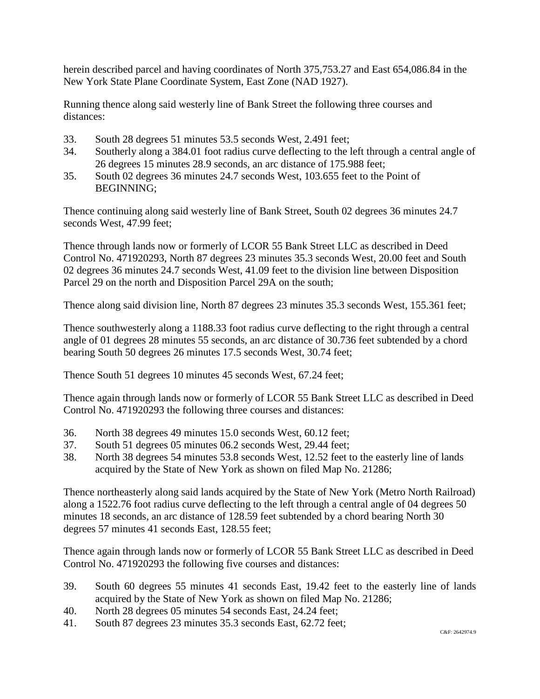herein described parcel and having coordinates of North 375,753.27 and East 654,086.84 in the New York State Plane Coordinate System, East Zone (NAD 1927).

Running thence along said westerly line of Bank Street the following three courses and distances:

- 33. South 28 degrees 51 minutes 53.5 seconds West, 2.491 feet;
- 34. Southerly along a 384.01 foot radius curve deflecting to the left through a central angle of 26 degrees 15 minutes 28.9 seconds, an arc distance of 175.988 feet;
- 35. South 02 degrees 36 minutes 24.7 seconds West, 103.655 feet to the Point of BEGINNING;

Thence continuing along said westerly line of Bank Street, South 02 degrees 36 minutes 24.7 seconds West, 47.99 feet;

Thence through lands now or formerly of LCOR 55 Bank Street LLC as described in Deed Control No. 471920293, North 87 degrees 23 minutes 35.3 seconds West, 20.00 feet and South 02 degrees 36 minutes 24.7 seconds West, 41.09 feet to the division line between Disposition Parcel 29 on the north and Disposition Parcel 29A on the south;

Thence along said division line, North 87 degrees 23 minutes 35.3 seconds West, 155.361 feet;

Thence southwesterly along a 1188.33 foot radius curve deflecting to the right through a central angle of 01 degrees 28 minutes 55 seconds, an arc distance of 30.736 feet subtended by a chord bearing South 50 degrees 26 minutes 17.5 seconds West, 30.74 feet;

Thence South 51 degrees 10 minutes 45 seconds West, 67.24 feet;

Thence again through lands now or formerly of LCOR 55 Bank Street LLC as described in Deed Control No. 471920293 the following three courses and distances:

- 36. North 38 degrees 49 minutes 15.0 seconds West, 60.12 feet;
- 37. South 51 degrees 05 minutes 06.2 seconds West, 29.44 feet;
- 38. North 38 degrees 54 minutes 53.8 seconds West, 12.52 feet to the easterly line of lands acquired by the State of New York as shown on filed Map No. 21286;

Thence northeasterly along said lands acquired by the State of New York (Metro North Railroad) along a 1522.76 foot radius curve deflecting to the left through a central angle of 04 degrees 50 minutes 18 seconds, an arc distance of 128.59 feet subtended by a chord bearing North 30 degrees 57 minutes 41 seconds East, 128.55 feet;

Thence again through lands now or formerly of LCOR 55 Bank Street LLC as described in Deed Control No. 471920293 the following five courses and distances:

- 39. South 60 degrees 55 minutes 41 seconds East, 19.42 feet to the easterly line of lands acquired by the State of New York as shown on filed Map No. 21286;
- 40. North 28 degrees 05 minutes 54 seconds East, 24.24 feet;
- 41. South 87 degrees 23 minutes 35.3 seconds East, 62.72 feet;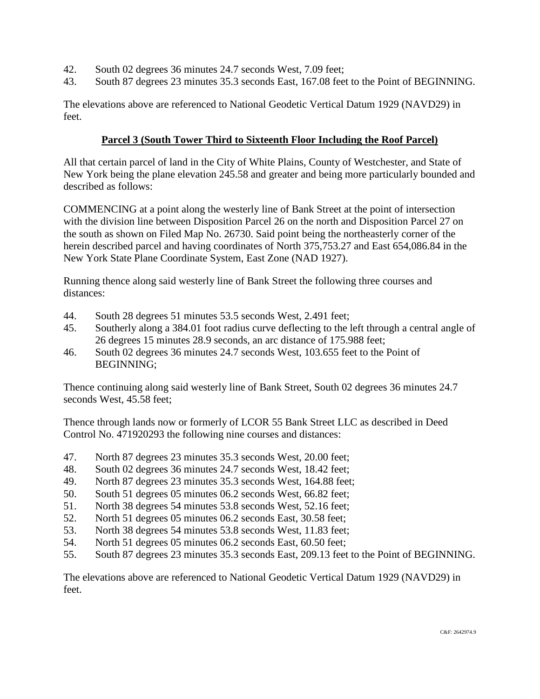- 42. South 02 degrees 36 minutes 24.7 seconds West, 7.09 feet;
- 43. South 87 degrees 23 minutes 35.3 seconds East, 167.08 feet to the Point of BEGINNING.

The elevations above are referenced to National Geodetic Vertical Datum 1929 (NAVD29) in feet.

### **Parcel 3 (South Tower Third to Sixteenth Floor Including the Roof Parcel)**

All that certain parcel of land in the City of White Plains, County of Westchester, and State of New York being the plane elevation 245.58 and greater and being more particularly bounded and described as follows:

COMMENCING at a point along the westerly line of Bank Street at the point of intersection with the division line between Disposition Parcel 26 on the north and Disposition Parcel 27 on the south as shown on Filed Map No. 26730. Said point being the northeasterly corner of the herein described parcel and having coordinates of North 375,753.27 and East 654,086.84 in the New York State Plane Coordinate System, East Zone (NAD 1927).

Running thence along said westerly line of Bank Street the following three courses and distances:

- 44. South 28 degrees 51 minutes 53.5 seconds West, 2.491 feet;
- 45. Southerly along a 384.01 foot radius curve deflecting to the left through a central angle of 26 degrees 15 minutes 28.9 seconds, an arc distance of 175.988 feet;
- 46. South 02 degrees 36 minutes 24.7 seconds West, 103.655 feet to the Point of BEGINNING;

Thence continuing along said westerly line of Bank Street, South 02 degrees 36 minutes 24.7 seconds West, 45.58 feet;

Thence through lands now or formerly of LCOR 55 Bank Street LLC as described in Deed Control No. 471920293 the following nine courses and distances:

- 47. North 87 degrees 23 minutes 35.3 seconds West, 20.00 feet;
- 48. South 02 degrees 36 minutes 24.7 seconds West, 18.42 feet;
- 49. North 87 degrees 23 minutes 35.3 seconds West, 164.88 feet;
- 50. South 51 degrees 05 minutes 06.2 seconds West, 66.82 feet;
- 51. North 38 degrees 54 minutes 53.8 seconds West, 52.16 feet;
- 52. North 51 degrees 05 minutes 06.2 seconds East, 30.58 feet;
- 53. North 38 degrees 54 minutes 53.8 seconds West, 11.83 feet;
- 54. North 51 degrees 05 minutes 06.2 seconds East, 60.50 feet;
- 55. South 87 degrees 23 minutes 35.3 seconds East, 209.13 feet to the Point of BEGINNING.

The elevations above are referenced to National Geodetic Vertical Datum 1929 (NAVD29) in feet.